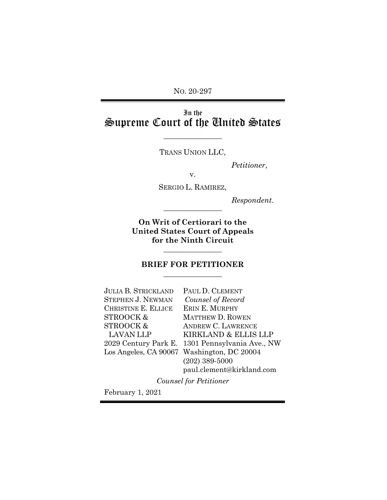NO. 20-297

# In the Supreme Court of the United States

TRANS UNION LLC,

 $\overline{\phantom{a}}$  , where  $\overline{\phantom{a}}$ 

*Petitioner*,

v.

SERGIO L. RAMIREZ,

*Respondent*. \_\_\_\_\_\_\_\_\_\_\_\_\_\_\_\_

**On Writ of Certiorari to the United States Court of Appeals for the Ninth Circuit**

## **BRIEF FOR PETITIONER**  $\overline{\phantom{a}}$  , where  $\overline{\phantom{a}}$

 $\overline{\phantom{a}}$  , where  $\overline{\phantom{a}}$ 

| <b>JULIA B. STRICKLAND</b> | PAUL D. CLEMENT                                 |
|----------------------------|-------------------------------------------------|
| <b>STEPHEN J. NEWMAN</b>   | Counsel of Record                               |
| <b>CHRISTINE E. ELLICE</b> | ERIN E. MURPHY                                  |
| STROOCK&                   | <b>MATTHEW D. ROWEN</b>                         |
| STROOCK&                   | <b>ANDREW C. LAWRENCE</b>                       |
| <b>LAVAN LLP</b>           | KIRKLAND & ELLIS LLP                            |
|                            | 2029 Century Park E. 1301 Pennsylvania Ave., NW |
|                            | Los Angeles, CA 90067 Washington, DC 20004      |
|                            | $(202)$ 389-5000                                |
|                            | paul.clement@kirkland.com                       |
|                            |                                                 |

*Counsel for Petitioner*

February 1, 2021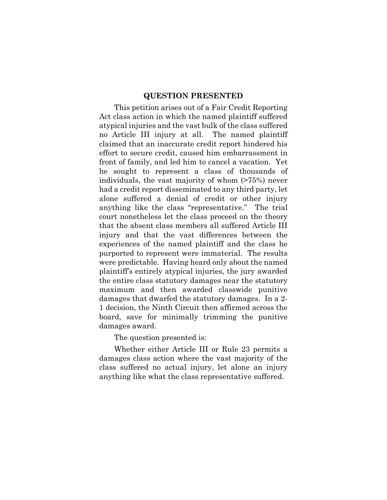#### **QUESTION PRESENTED**

<span id="page-1-0"></span>This petition arises out of a Fair Credit Reporting Act class action in which the named plaintiff suffered atypical injuries and the vast bulk of the class suffered no Article III injury at all. The named plaintiff claimed that an inaccurate credit report hindered his effort to secure credit, caused him embarrassment in front of family, and led him to cancel a vacation. Yet he sought to represent a class of thousands of individuals, the vast majority of whom (>75%) never had a credit report disseminated to any third party, let alone suffered a denial of credit or other injury anything like the class "representative." The trial court nonetheless let the class proceed on the theory that the absent class members all suffered Article III injury and that the vast differences between the experiences of the named plaintiff and the class he purported to represent were immaterial. The results were predictable. Having heard only about the named plaintiff's entirely atypical injuries, the jury awarded the entire class statutory damages near the statutory maximum and then awarded classwide punitive damages that dwarfed the statutory damages. In a 2- 1 decision, the Ninth Circuit then affirmed across the board, save for minimally trimming the punitive damages award.

The question presented is:

Whether either Article III or Rule 23 permits a damages class action where the vast majority of the class suffered no actual injury, let alone an injury anything like what the class representative suffered.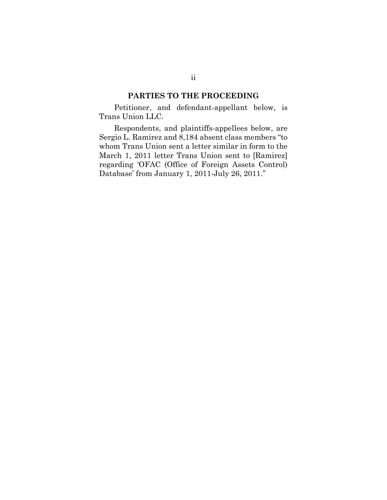#### **PARTIES TO THE PROCEEDING**

<span id="page-2-0"></span>Petitioner, and defendant-appellant below, is Trans Union LLC.

Respondents, and plaintiffs-appellees below, are Sergio L. Ramirez and 8,184 absent class members "to whom Trans Union sent a letter similar in form to the March 1, 2011 letter Trans Union sent to [Ramirez] regarding 'OFAC (Office of Foreign Assets Control) Database' from January 1, 2011-July 26, 2011."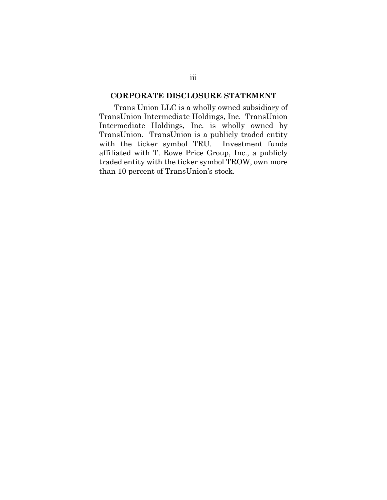# <span id="page-3-0"></span>**CORPORATE DISCLOSURE STATEMENT**

Trans Union LLC is a wholly owned subsidiary of TransUnion Intermediate Holdings, Inc. TransUnion Intermediate Holdings, Inc. is wholly owned by TransUnion. TransUnion is a publicly traded entity with the ticker symbol TRU. Investment funds affiliated with T. Rowe Price Group, Inc., a publicly traded entity with the ticker symbol TROW, own more than 10 percent of TransUnion's stock.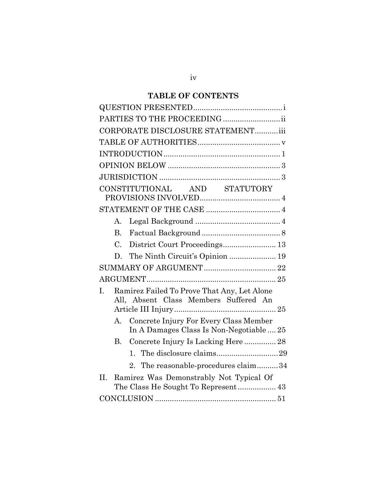# **TABLE OF CONTENTS**

| PARTIES TO THE PROCEEDING                                                                  |
|--------------------------------------------------------------------------------------------|
| CORPORATE DISCLOSURE STATEMENTiii                                                          |
|                                                                                            |
|                                                                                            |
|                                                                                            |
|                                                                                            |
| CONSTITUTIONAL AND STATUTORY                                                               |
|                                                                                            |
| A.                                                                                         |
| $B_{\cdot}$                                                                                |
| District Court Proceedings 13<br>$C_{\cdot}$                                               |
| The Ninth Circuit's Opinion  19<br>D.                                                      |
|                                                                                            |
|                                                                                            |
| T.<br>Ramirez Failed To Prove That Any, Let Alone<br>All, Absent Class Members Suffered An |
| Concrete Injury For Every Class Member<br>А.<br>In A Damages Class Is Non-Negotiable  25   |
| B. Concrete Injury Is Lacking Here  28                                                     |
|                                                                                            |
| 2. The reasonable-procedures claim34                                                       |
| $\Pi$ .<br>Ramirez Was Demonstrably Not Typical Of                                         |
|                                                                                            |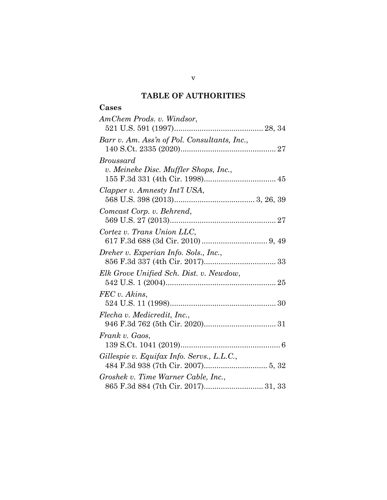# **TABLE OF AUTHORITIES**

# <span id="page-5-0"></span>**Cases**

| AmChem Prods. v. Windsor,                    |
|----------------------------------------------|
|                                              |
| Barr v. Am. Ass'n of Pol. Consultants, Inc., |
|                                              |
| <i>Broussard</i>                             |
| v. Meineke Disc. Muffler Shops, Inc.,        |
|                                              |
| Clapper v. Amnesty Int'l USA,                |
|                                              |
| Comcast Corp. v. Behrend,                    |
|                                              |
| Cortez v. Trans Union LLC,                   |
|                                              |
| Dreher v. Experian Info. Sols., Inc.,        |
|                                              |
| Elk Grove Unified Sch. Dist. v. Newdow,      |
|                                              |
| FEC v. Akins,                                |
|                                              |
| Flecha v. Medicredit, Inc.,                  |
|                                              |
| Frank v. Gaos,                               |
|                                              |
| Gillespie v. Equifax Info. Servs., L.L.C.,   |
|                                              |
| Groshek v. Time Warner Cable, Inc.,          |
| 865 F.3d 884 (7th Cir. 2017) 31, 33          |

v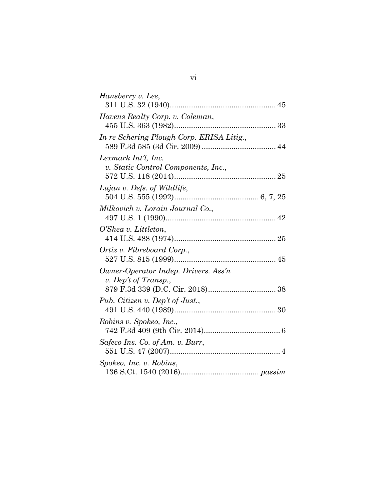| Hansberry v. Lee,                         |
|-------------------------------------------|
|                                           |
| Havens Realty Corp. v. Coleman,           |
|                                           |
| In re Schering Plough Corp. ERISA Litig., |
|                                           |
| Lexmark Int'l, Inc.                       |
| v. Static Control Components, Inc.,       |
|                                           |
| Lujan v. Defs. of Wildlife,               |
|                                           |
| Milkovich v. Lorain Journal Co.,          |
|                                           |
| O'Shea v. Littleton,                      |
|                                           |
| Ortiz v. Fibreboard Corp.,                |
|                                           |
| Owner-Operator Indep. Drivers. Ass'n      |
| v. Dep't of Transp.,                      |
|                                           |
| Pub. Citizen v. Dep't of Just.,           |
|                                           |
| Robins v. Spokeo, Inc.,                   |
|                                           |
| Safeco Ins. Co. of Am. v. Burr,           |
|                                           |
| Spokeo, Inc. v. Robins,                   |
|                                           |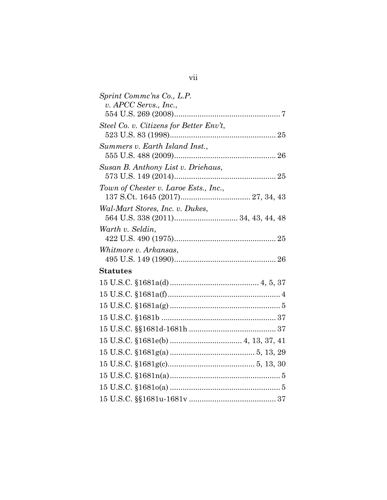| Sprint Commc'ns Co., L.P.               |
|-----------------------------------------|
| v. APCC Servs., Inc.,                   |
|                                         |
| Steel Co. v. Citizens for Better Env't, |
|                                         |
| Summers v. Earth Island Inst.,          |
|                                         |
| Susan B. Anthony List v. Driehaus,      |
|                                         |
| Town of Chester v. Laroe Ests., Inc.,   |
|                                         |
| Wal-Mart Stores, Inc. v. Dukes,         |
|                                         |
| Warth v. Seldin,                        |
|                                         |
| Whitmore v. Arkansas,                   |
|                                         |
| <b>Statutes</b>                         |
|                                         |
|                                         |
|                                         |
|                                         |
|                                         |
|                                         |
|                                         |
|                                         |
|                                         |
|                                         |
|                                         |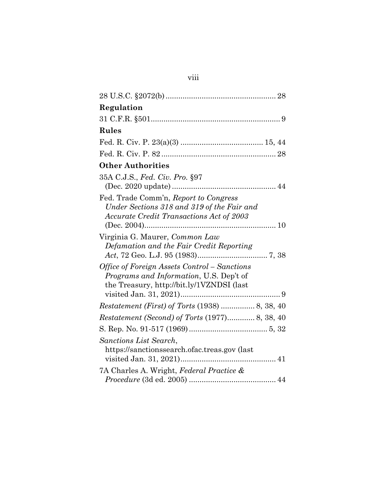| Regulation                                                                             |
|----------------------------------------------------------------------------------------|
|                                                                                        |
| <b>Rules</b>                                                                           |
|                                                                                        |
|                                                                                        |
| <b>Other Authorities</b>                                                               |
| 35A C.J.S., Fed. Civ. Pro. §97                                                         |
|                                                                                        |
| Fed. Trade Comm'n, Report to Congress                                                  |
| Under Sections 318 and 319 of the Fair and<br>Accurate Credit Transactions Act of 2003 |
|                                                                                        |
| Virginia G. Maurer, Common Law                                                         |
| Defamation and the Fair Credit Reporting                                               |
|                                                                                        |
| Office of Foreign Assets Control – Sanctions                                           |
| Programs and Information, U.S. Dep't of                                                |
| the Treasury, http://bit.ly/1VZNDSI (last                                              |
| Restatement (First) of Torts (1938)  8, 38, 40                                         |
| Restatement (Second) of Torts (1977) 8, 38, 40                                         |
|                                                                                        |
| Sanctions List Search,                                                                 |
| https://sanctionssearch.ofac.treas.gov (last                                           |
|                                                                                        |
| 7A Charles A. Wright, Federal Practice &                                               |
|                                                                                        |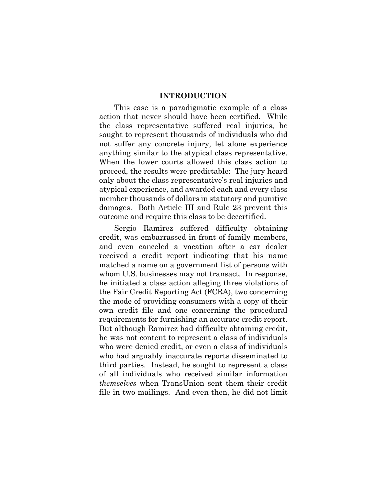#### **INTRODUCTION**

<span id="page-9-0"></span>This case is a paradigmatic example of a class action that never should have been certified. While the class representative suffered real injuries, he sought to represent thousands of individuals who did not suffer any concrete injury, let alone experience anything similar to the atypical class representative. When the lower courts allowed this class action to proceed, the results were predictable: The jury heard only about the class representative's real injuries and atypical experience, and awarded each and every class member thousands of dollars in statutory and punitive damages. Both Article III and Rule 23 prevent this outcome and require this class to be decertified.

Sergio Ramirez suffered difficulty obtaining credit, was embarrassed in front of family members, and even canceled a vacation after a car dealer received a credit report indicating that his name matched a name on a government list of persons with whom U.S. businesses may not transact. In response, he initiated a class action alleging three violations of the Fair Credit Reporting Act (FCRA), two concerning the mode of providing consumers with a copy of their own credit file and one concerning the procedural requirements for furnishing an accurate credit report. But although Ramirez had difficulty obtaining credit, he was not content to represent a class of individuals who were denied credit, or even a class of individuals who had arguably inaccurate reports disseminated to third parties. Instead, he sought to represent a class of all individuals who received similar information *themselves* when TransUnion sent them their credit file in two mailings. And even then, he did not limit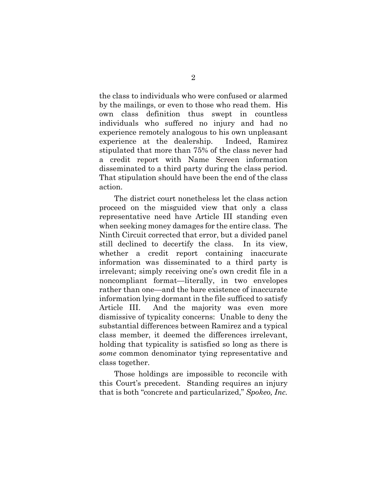the class to individuals who were confused or alarmed by the mailings, or even to those who read them. His own class definition thus swept in countless individuals who suffered no injury and had no experience remotely analogous to his own unpleasant experience at the dealership. Indeed, Ramirez stipulated that more than 75% of the class never had a credit report with Name Screen information disseminated to a third party during the class period. That stipulation should have been the end of the class action.

The district court nonetheless let the class action proceed on the misguided view that only a class representative need have Article III standing even when seeking money damages for the entire class. The Ninth Circuit corrected that error, but a divided panel still declined to decertify the class. In its view, whether a credit report containing inaccurate information was disseminated to a third party is irrelevant; simply receiving one's own credit file in a noncompliant format—literally, in two envelopes rather than one—and the bare existence of inaccurate information lying dormant in the file sufficed to satisfy Article III. And the majority was even more dismissive of typicality concerns: Unable to deny the substantial differences between Ramirez and a typical class member, it deemed the differences irrelevant, holding that typicality is satisfied so long as there is *some* common denominator tying representative and class together.

Those holdings are impossible to reconcile with this Court's precedent. Standing requires an injury that is both "concrete and particularized," *Spokeo, Inc.*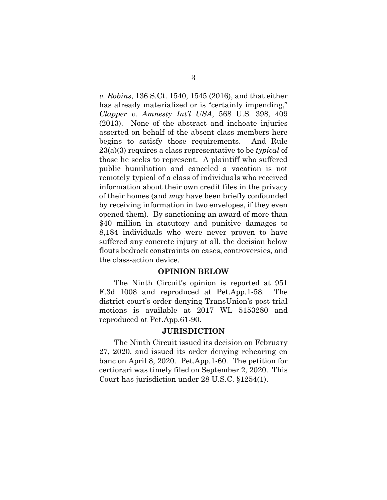*v. Robins*, 136 S.Ct. 1540, 1545 (2016), and that either has already materialized or is "certainly impending," *Clapper v. Amnesty Int'l USA*, 568 U.S. 398, 409 (2013). None of the abstract and inchoate injuries asserted on behalf of the absent class members here begins to satisfy those requirements. And Rule 23(a)(3) requires a class representative to be *typical* of those he seeks to represent. A plaintiff who suffered public humiliation and canceled a vacation is not remotely typical of a class of individuals who received information about their own credit files in the privacy of their homes (and *may* have been briefly confounded by receiving information in two envelopes, if they even opened them). By sanctioning an award of more than \$40 million in statutory and punitive damages to 8,184 individuals who were never proven to have suffered any concrete injury at all, the decision below flouts bedrock constraints on cases, controversies, and the class-action device.

#### **OPINION BELOW**

<span id="page-11-0"></span>The Ninth Circuit's opinion is reported at 951 F.3d 1008 and reproduced at Pet.App.1-58. The district court's order denying TransUnion's post-trial motions is available at 2017 WL 5153280 and reproduced at Pet.App.61-90.

#### **JURISDICTION**

<span id="page-11-1"></span>The Ninth Circuit issued its decision on February 27, 2020, and issued its order denying rehearing en banc on April 8, 2020. Pet.App.1-60. The petition for certiorari was timely filed on September 2, 2020. This Court has jurisdiction under 28 U.S.C. §1254(1).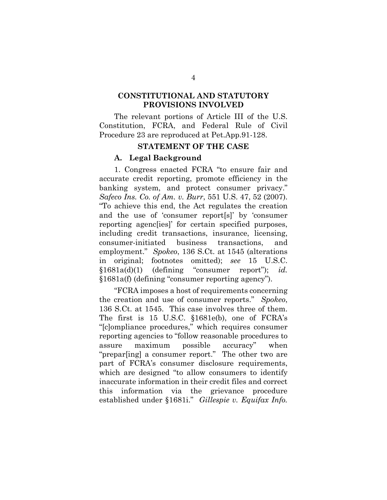### <span id="page-12-0"></span>**CONSTITUTIONAL AND STATUTORY PROVISIONS INVOLVED**

The relevant portions of Article III of the U.S. Constitution, FCRA, and Federal Rule of Civil Procedure 23 are reproduced at Pet.App.91-128.

#### **STATEMENT OF THE CASE**

#### <span id="page-12-1"></span>**A. Legal Background**

<span id="page-12-2"></span>1. Congress enacted FCRA "to ensure fair and accurate credit reporting, promote efficiency in the banking system, and protect consumer privacy." *Safeco Ins. Co. of Am. v. Burr*, 551 U.S. 47, 52 (2007). "To achieve this end, the Act regulates the creation and the use of 'consumer report[s]' by 'consumer reporting agenc[ies]' for certain specified purposes, including credit transactions, insurance, licensing, consumer-initiated business transactions, and employment." *Spokeo*, 136 S.Ct. at 1545 (alterations in original; footnotes omitted); *see* 15 U.S.C. §1681a(d)(1) (defining "consumer report"); *id.* §1681a(f) (defining "consumer reporting agency").

"FCRA imposes a host of requirements concerning the creation and use of consumer reports." *Spokeo*, 136 S.Ct. at 1545. This case involves three of them. The first is 15 U.S.C. §1681e(b), one of FCRA's "[c]ompliance procedures," which requires consumer reporting agencies to "follow reasonable procedures to assure maximum possible accuracy" when "prepar[ing] a consumer report." The other two are part of FCRA's consumer disclosure requirements, which are designed "to allow consumers to identify inaccurate information in their credit files and correct this information via the grievance procedure established under §1681i." *Gillespie v. Equifax Info.*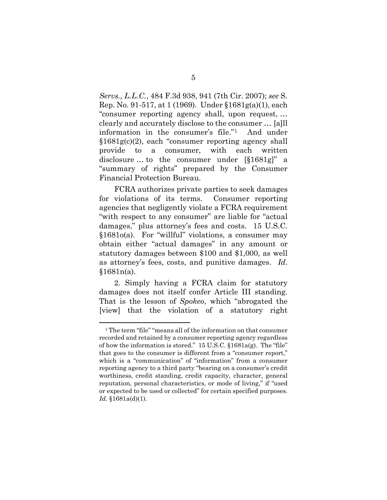*Servs., L.L.C.*, 484 F.3d 938, 941 (7th Cir. 2007); *see* S. Rep. No. 91-517, at 1 (1969). Under §1681g(a)(1), each "consumer reporting agency shall, upon request, … clearly and accurately disclose to the consumer … [a]ll information in the consumer's file."[1](#page-13-0) And under §1681g(c)(2), each "consumer reporting agency shall provide to a consumer, with each written disclosure … to the consumer under [§1681g]" a "summary of rights" prepared by the Consumer Financial Protection Bureau.

FCRA authorizes private parties to seek damages for violations of its terms. Consumer reporting agencies that negligently violate a FCRA requirement "with respect to any consumer" are liable for "actual damages," plus attorney's fees and costs. 15 U.S.C. §1681o(a). For "willful" violations, a consumer may obtain either "actual damages" in any amount or statutory damages between \$100 and \$1,000, as well as attorney's fees, costs, and punitive damages. *Id*.  $§1681n(a).$ 

2. Simply having a FCRA claim for statutory damages does not itself confer Article III standing. That is the lesson of *Spokeo*, which "abrogated the [view] that the violation of a statutory right

<u>.</u>

<span id="page-13-0"></span><sup>1</sup> The term "file" "means all of the information on that consumer recorded and retained by a consumer reporting agency regardless of how the information is stored." 15 U.S.C. §1681a(g). The "file" that goes to the consumer is different from a "consumer report," which is a "communication" of "information" from a consumer reporting agency to a third party "bearing on a consumer's credit worthiness, credit standing, credit capacity, character, general reputation, personal characteristics, or mode of living," if "used or expected to be used or collected" for certain specified purposes. *Id.* §1681a(d)(1).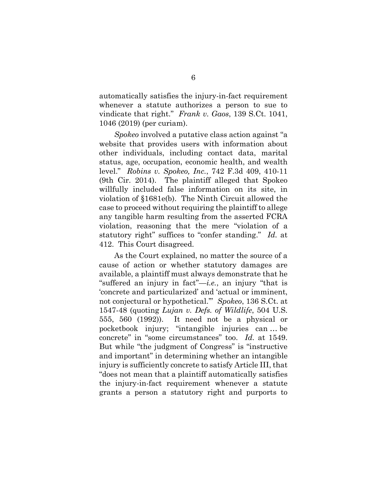automatically satisfies the injury-in-fact requirement whenever a statute authorizes a person to sue to vindicate that right." *Frank v. Gaos*, 139 S.Ct. 1041, 1046 (2019) (per curiam).

*Spokeo* involved a putative class action against "a website that provides users with information about other individuals, including contact data, marital status, age, occupation, economic health, and wealth level." *Robins v. Spokeo, Inc.*, 742 F.3d 409, 410-11 (9th Cir. 2014). The plaintiff alleged that Spokeo willfully included false information on its site, in violation of §1681e(b). The Ninth Circuit allowed the case to proceed without requiring the plaintiff to allege any tangible harm resulting from the asserted FCRA violation, reasoning that the mere "violation of a statutory right" suffices to "confer standing." *Id.* at 412. This Court disagreed.

As the Court explained, no matter the source of a cause of action or whether statutory damages are available, a plaintiff must always demonstrate that he "suffered an injury in fact"—*i.e.*, an injury "that is 'concrete and particularized' and 'actual or imminent, not conjectural or hypothetical.'" *Spokeo*, 136 S.Ct. at 1547-48 (quoting *Lujan v. Defs. of Wildlife*, 504 U.S. 555, 560 (1992)). It need not be a physical or pocketbook injury; "intangible injuries can … be concrete" in "some circumstances" too. *Id.* at 1549. But while "the judgment of Congress" is "instructive and important" in determining whether an intangible injury is sufficiently concrete to satisfy Article III, that "does not mean that a plaintiff automatically satisfies the injury-in-fact requirement whenever a statute grants a person a statutory right and purports to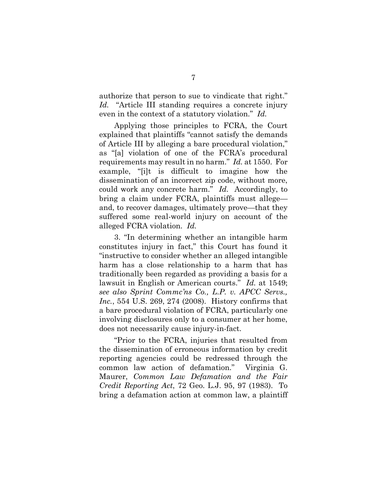authorize that person to sue to vindicate that right." *Id.* "Article III standing requires a concrete injury even in the context of a statutory violation." *Id.*

Applying those principles to FCRA, the Court explained that plaintiffs "cannot satisfy the demands of Article III by alleging a bare procedural violation," as "[a] violation of one of the FCRA's procedural requirements may result in no harm." *Id.* at 1550. For example, "[i]t is difficult to imagine how the dissemination of an incorrect zip code, without more, could work any concrete harm." *Id.* Accordingly, to bring a claim under FCRA, plaintiffs must allege and, to recover damages, ultimately prove—that they suffered some real-world injury on account of the alleged FCRA violation. *Id.*

3. "In determining whether an intangible harm constitutes injury in fact," this Court has found it "instructive to consider whether an alleged intangible harm has a close relationship to a harm that has traditionally been regarded as providing a basis for a lawsuit in English or American courts." *Id.* at 1549; *see also Sprint Commc'ns Co., L.P. v. APCC Servs., Inc.*, 554 U.S. 269, 274 (2008). History confirms that a bare procedural violation of FCRA, particularly one involving disclosures only to a consumer at her home, does not necessarily cause injury-in-fact.

"Prior to the FCRA, injuries that resulted from the dissemination of erroneous information by credit reporting agencies could be redressed through the common law action of defamation." Virginia G. Maurer, *Common Law Defamation and the Fair Credit Reporting Act*, 72 Geo. L.J. 95, 97 (1983). To bring a defamation action at common law, a plaintiff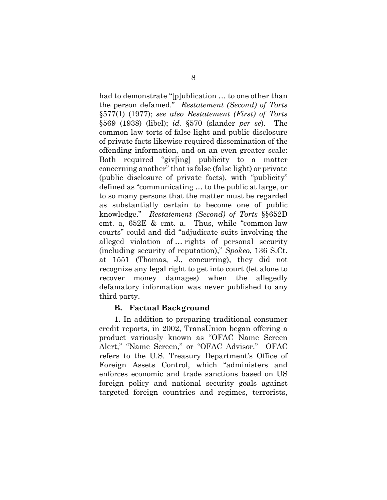had to demonstrate "[p]ublication … to one other than the person defamed." *Restatement (Second) of Torts* §577(1) (1977); *see also Restatement (First) of Torts* §569 (1938) (libel); *id.* §570 (slander *per se*). The common-law torts of false light and public disclosure of private facts likewise required dissemination of the offending information, and on an even greater scale: Both required "giv[ing] publicity to a matter concerning another" that is false (false light) or private (public disclosure of private facts), with "publicity" defined as "communicating … to the public at large, or to so many persons that the matter must be regarded as substantially certain to become one of public knowledge." *Restatement (Second) of Torts* §§652D cmt. a, 652E & cmt. a. Thus, while "common-law courts" could and did "adjudicate suits involving the alleged violation of … rights of personal security (including security of reputation)," *Spokeo*, 136 S.Ct. at 1551 (Thomas, J., concurring), they did not recognize any legal right to get into court (let alone to recover money damages) when the allegedly defamatory information was never published to any third party.

### **B. Factual Background**

<span id="page-16-0"></span>1. In addition to preparing traditional consumer credit reports, in 2002, TransUnion began offering a product variously known as "OFAC Name Screen Alert," "Name Screen," or "OFAC Advisor." OFAC refers to the U.S. Treasury Department's Office of Foreign Assets Control, which "administers and enforces economic and trade sanctions based on US foreign policy and national security goals against targeted foreign countries and regimes, terrorists,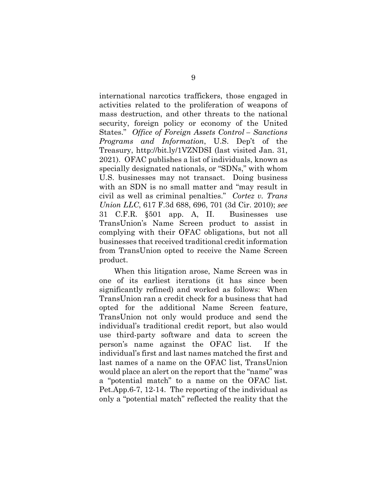international narcotics traffickers, those engaged in activities related to the proliferation of weapons of mass destruction, and other threats to the national security, foreign policy or economy of the United States." *Office of Foreign Assets Control – Sanctions Programs and Information*, U.S. Dep't of the Treasury, http://bit.ly/1VZNDSI (last visited Jan. 31, 2021). OFAC publishes a list of individuals, known as specially designated nationals, or "SDNs," with whom U.S. businesses may not transact. Doing business with an SDN is no small matter and "may result in civil as well as criminal penalties." *Cortez v. Trans Union LLC*, 617 F.3d 688, 696, 701 (3d Cir. 2010); *see* 31 C.F.R. §501 app. A, II. Businesses use TransUnion's Name Screen product to assist in complying with their OFAC obligations, but not all businesses that received traditional credit information from TransUnion opted to receive the Name Screen product.

When this litigation arose, Name Screen was in one of its earliest iterations (it has since been significantly refined) and worked as follows: When TransUnion ran a credit check for a business that had opted for the additional Name Screen feature, TransUnion not only would produce and send the individual's traditional credit report, but also would use third-party software and data to screen the person's name against the OFAC list. If the individual's first and last names matched the first and last names of a name on the OFAC list, TransUnion would place an alert on the report that the "name" was a "potential match" to a name on the OFAC list. Pet.App.6-7, 12-14. The reporting of the individual as only a "potential match" reflected the reality that the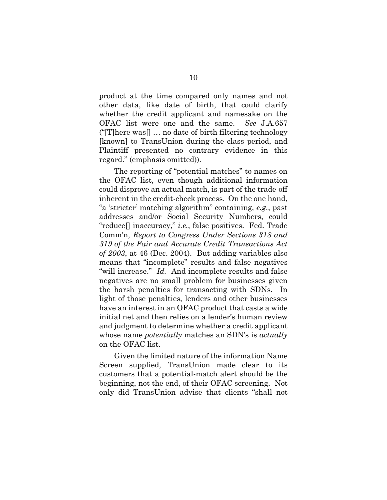product at the time compared only names and not other data, like date of birth, that could clarify whether the credit applicant and namesake on the OFAC list were one and the same. *See* J.A.657 ("[T]here was[] … no date-of-birth filtering technology [known] to TransUnion during the class period, and Plaintiff presented no contrary evidence in this regard." (emphasis omitted)).

The reporting of "potential matches" to names on the OFAC list, even though additional information could disprove an actual match, is part of the trade-off inherent in the credit-check process. On the one hand, "a 'stricter' matching algorithm" containing, *e.g.*, past addresses and/or Social Security Numbers, could "reduce[] inaccuracy," *i.e.*, false positives. Fed. Trade Comm'n, *Report to Congress Under Sections 318 and 319 of the Fair and Accurate Credit Transactions Act of 2003*, at 46 (Dec. 2004). But adding variables also means that "incomplete" results and false negatives "will increase." *Id.* And incomplete results and false negatives are no small problem for businesses given the harsh penalties for transacting with SDNs. In light of those penalties, lenders and other businesses have an interest in an OFAC product that casts a wide initial net and then relies on a lender's human review and judgment to determine whether a credit applicant whose name *potentially* matches an SDN's is *actually* on the OFAC list.

Given the limited nature of the information Name Screen supplied, TransUnion made clear to its customers that a potential-match alert should be the beginning, not the end, of their OFAC screening. Not only did TransUnion advise that clients "shall not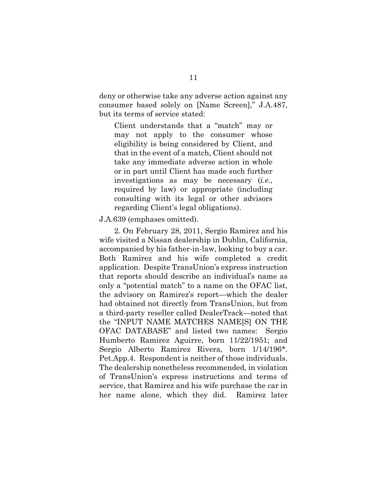deny or otherwise take any adverse action against any consumer based solely on [Name Screen]," J.A.487, but its terms of service stated:

Client understands that a "match" may or may not apply to the consumer whose eligibility is being considered by Client, and that in the event of a match, Client should not take any immediate adverse action in whole or in part until Client has made such further investigations as may be necessary (*i.e.*, required by law) or appropriate (including consulting with its legal or other advisors regarding Client's legal obligations).

#### J.A.639 (emphases omitted).

2. On February 28, 2011, Sergio Ramirez and his wife visited a Nissan dealership in Dublin, California, accompanied by his father-in-law, looking to buy a car. Both Ramirez and his wife completed a credit application. Despite TransUnion's express instruction that reports should describe an individual's name as only a "potential match" to a name on the OFAC list, the advisory on Ramirez's report—which the dealer had obtained not directly from TransUnion, but from a third-party reseller called DealerTrack—noted that the "INPUT NAME MATCHES NAME[S] ON THE OFAC DATABASE" and listed two names: Sergio Humberto Ramirez Aguirre, born 11/22/1951; and Sergio Alberto Ramirez Rivera, born 1/14/196\*. Pet.App.4. Respondent is neither of those individuals. The dealership nonetheless recommended, in violation of TransUnion's express instructions and terms of service, that Ramirez and his wife purchase the car in her name alone, which they did. Ramirez later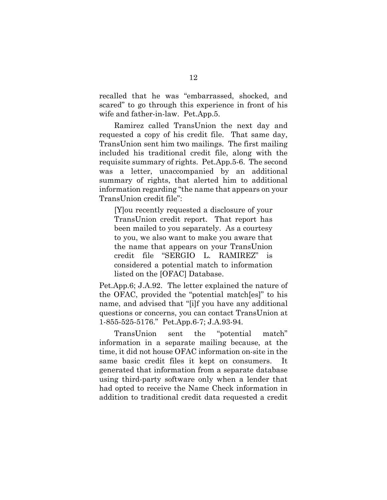recalled that he was "embarrassed, shocked, and scared" to go through this experience in front of his wife and father-in-law. Pet.App.5.

Ramirez called TransUnion the next day and requested a copy of his credit file. That same day, TransUnion sent him two mailings. The first mailing included his traditional credit file, along with the requisite summary of rights. Pet.App.5-6. The second was a letter, unaccompanied by an additional summary of rights, that alerted him to additional information regarding "the name that appears on your TransUnion credit file":

[Y]ou recently requested a disclosure of your TransUnion credit report. That report has been mailed to you separately. As a courtesy to you, we also want to make you aware that the name that appears on your TransUnion credit file "SERGIO L. RAMIREZ" is considered a potential match to information listed on the [OFAC] Database.

Pet.App.6; J.A.92. The letter explained the nature of the OFAC, provided the "potential match[es]" to his name, and advised that "[i]f you have any additional questions or concerns, you can contact TransUnion at 1-855-525-5176." Pet.App.6-7; J.A.93-94.

TransUnion sent the "potential match" information in a separate mailing because, at the time, it did not house OFAC information on-site in the same basic credit files it kept on consumers. It generated that information from a separate database using third-party software only when a lender that had opted to receive the Name Check information in addition to traditional credit data requested a credit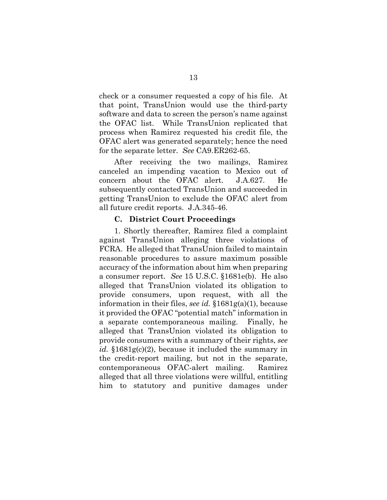check or a consumer requested a copy of his file. At that point, TransUnion would use the third-party software and data to screen the person's name against the OFAC list. While TransUnion replicated that process when Ramirez requested his credit file, the OFAC alert was generated separately; hence the need for the separate letter. *See* CA9.ER262-65.

After receiving the two mailings, Ramirez canceled an impending vacation to Mexico out of concern about the OFAC alert. J.A.627. He subsequently contacted TransUnion and succeeded in getting TransUnion to exclude the OFAC alert from all future credit reports. J.A.345-46.

#### **C. District Court Proceedings**

<span id="page-21-0"></span>1. Shortly thereafter, Ramirez filed a complaint against TransUnion alleging three violations of FCRA. He alleged that TransUnion failed to maintain reasonable procedures to assure maximum possible accuracy of the information about him when preparing a consumer report. *See* 15 U.S.C. §1681e(b). He also alleged that TransUnion violated its obligation to provide consumers, upon request, with all the information in their files, *see id.* §1681g(a)(1), because it provided the OFAC "potential match" information in a separate contemporaneous mailing. Finally, he alleged that TransUnion violated its obligation to provide consumers with a summary of their rights, *see* id. §1681g(c)(2), because it included the summary in the credit-report mailing, but not in the separate, contemporaneous OFAC-alert mailing. Ramirez alleged that all three violations were willful, entitling him to statutory and punitive damages under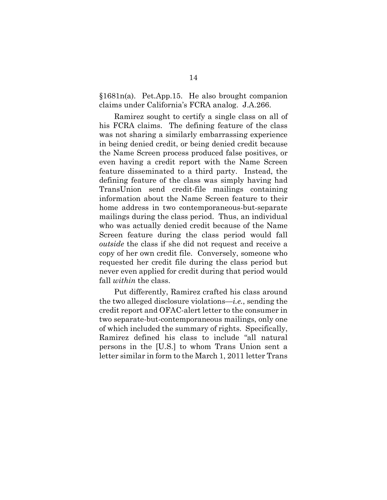§1681n(a). Pet.App.15. He also brought companion claims under California's FCRA analog. J.A.266.

Ramirez sought to certify a single class on all of his FCRA claims. The defining feature of the class was not sharing a similarly embarrassing experience in being denied credit, or being denied credit because the Name Screen process produced false positives, or even having a credit report with the Name Screen feature disseminated to a third party. Instead, the defining feature of the class was simply having had TransUnion send credit-file mailings containing information about the Name Screen feature to their home address in two contemporaneous-but-separate mailings during the class period. Thus, an individual who was actually denied credit because of the Name Screen feature during the class period would fall *outside* the class if she did not request and receive a copy of her own credit file. Conversely, someone who requested her credit file during the class period but never even applied for credit during that period would fall *within* the class.

Put differently, Ramirez crafted his class around the two alleged disclosure violations—*i.e.*, sending the credit report and OFAC-alert letter to the consumer in two separate-but-contemporaneous mailings, only one of which included the summary of rights. Specifically, Ramirez defined his class to include "all natural persons in the [U.S.] to whom Trans Union sent a letter similar in form to the March 1, 2011 letter Trans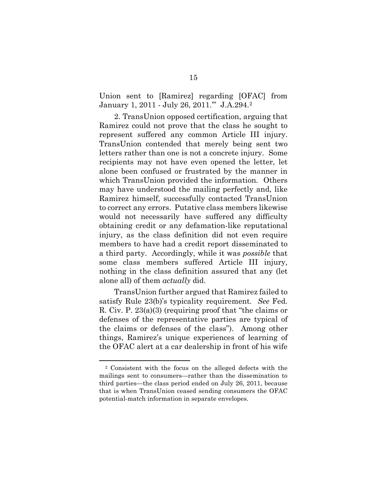Union sent to [Ramirez] regarding [OFAC] from January 1, 2011 - July 26, 2011.'" J.A.294.[2](#page-24-0)

2. TransUnion opposed certification, arguing that Ramirez could not prove that the class he sought to represent suffered any common Article III injury. TransUnion contended that merely being sent two letters rather than one is not a concrete injury. Some recipients may not have even opened the letter, let alone been confused or frustrated by the manner in which TransUnion provided the information. Others may have understood the mailing perfectly and, like Ramirez himself, successfully contacted TransUnion to correct any errors. Putative class members likewise would not necessarily have suffered any difficulty obtaining credit or any defamation-like reputational injury, as the class definition did not even require members to have had a credit report disseminated to a third party. Accordingly, while it was *possible* that some class members suffered Article III injury, nothing in the class definition assured that any (let alone all) of them *actually* did.

TransUnion further argued that Ramirez failed to satisfy Rule 23(b)'s typicality requirement. *See* Fed. R. Civ. P. 23(a)(3) (requiring proof that "the claims or defenses of the representative parties are typical of the claims or defenses of the class"). Among other things, Ramirez's unique experiences of learning of the OFAC alert at a car dealership in front of his wife

<u>.</u>

<sup>2</sup> Consistent with the focus on the alleged defects with the mailings sent to consumers—rather than the dissemination to third parties—the class period ended on July 26, 2011, because that is when TransUnion ceased sending consumers the OFAC potential-match information in separate envelopes.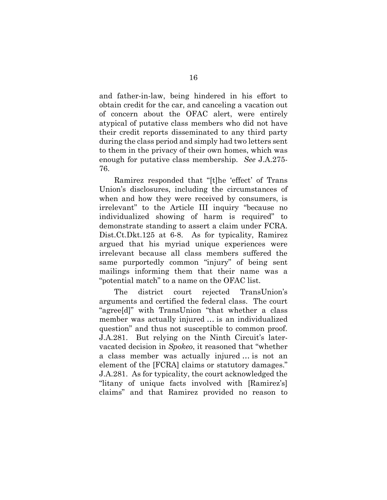and father-in-law, being hindered in his effort to obtain credit for the car, and canceling a vacation out of concern about the OFAC alert, were entirely atypical of putative class members who did not have their credit reports disseminated to any third party during the class period and simply had two letters sent to them in the privacy of their own homes, which was enough for putative class membership. *See* J.A.275- 76.

Ramirez responded that "[t]he 'effect' of Trans Union's disclosures, including the circumstances of when and how they were received by consumers, is irrelevant" to the Article III inquiry "because no individualized showing of harm is required" to demonstrate standing to assert a claim under FCRA. Dist.Ct.Dkt.125 at 6-8. As for typicality, Ramirez argued that his myriad unique experiences were irrelevant because all class members suffered the same purportedly common "injury" of being sent mailings informing them that their name was a "potential match" to a name on the OFAC list.

<span id="page-24-0"></span>The district court rejected TransUnion's arguments and certified the federal class. The court "agree[d]" with TransUnion "that whether a class member was actually injured … is an individualized question" and thus not susceptible to common proof. J.A.281. But relying on the Ninth Circuit's latervacated decision in *Spokeo*, it reasoned that "whether a class member was actually injured … is not an element of the [FCRA] claims or statutory damages." J.A.281. As for typicality, the court acknowledged the "litany of unique facts involved with [Ramirez's] claims" and that Ramirez provided no reason to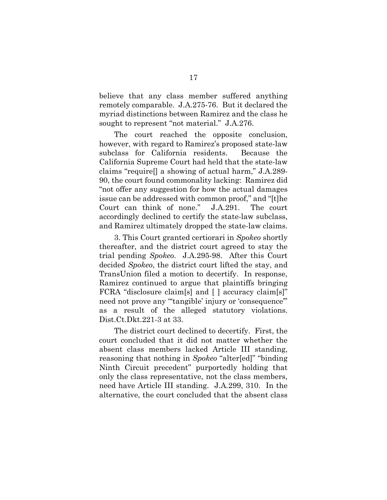believe that any class member suffered anything remotely comparable. J.A.275-76. But it declared the myriad distinctions between Ramirez and the class he sought to represent "not material." J.A.276.

The court reached the opposite conclusion, however, with regard to Ramirez's proposed state-law subclass for California residents. Because the California Supreme Court had held that the state-law claims "require[] a showing of actual harm," J.A.289- 90, the court found commonality lacking: Ramirez did "not offer any suggestion for how the actual damages issue can be addressed with common proof," and "[t]he Court can think of none." J.A.291. The court accordingly declined to certify the state-law subclass, and Ramirez ultimately dropped the state-law claims.

3. This Court granted certiorari in *Spokeo* shortly thereafter, and the district court agreed to stay the trial pending *Spokeo*. J.A.295-98. After this Court decided *Spokeo*, the district court lifted the stay, and TransUnion filed a motion to decertify. In response, Ramirez continued to argue that plaintiffs bringing FCRA "disclosure claim[s] and [ ] accuracy claim[s]" need not prove any "'tangible' injury or 'consequence'" as a result of the alleged statutory violations. Dist.Ct.Dkt.221-3 at 33.

The district court declined to decertify. First, the court concluded that it did not matter whether the absent class members lacked Article III standing, reasoning that nothing in *Spokeo* "alter[ed]" "binding Ninth Circuit precedent" purportedly holding that only the class representative, not the class members, need have Article III standing. J.A.299, 310. In the alternative, the court concluded that the absent class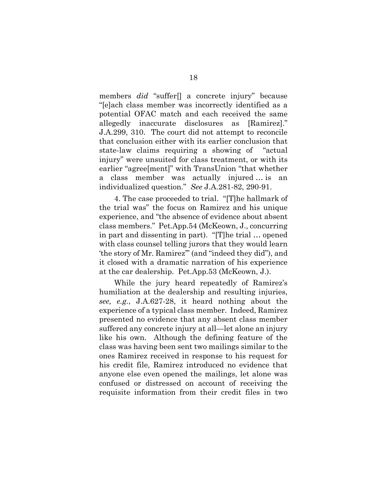members *did* "suffer[] a concrete injury" because "[e]ach class member was incorrectly identified as a potential OFAC match and each received the same allegedly inaccurate disclosures as [Ramirez]." J.A.299, 310. The court did not attempt to reconcile that conclusion either with its earlier conclusion that state-law claims requiring a showing of "actual injury" were unsuited for class treatment, or with its earlier "agree[ment]" with TransUnion "that whether a class member was actually injured … is an individualized question." *See* J.A.281-82, 290-91.

4. The case proceeded to trial. "[T]he hallmark of the trial was" the focus on Ramirez and his unique experience, and "the absence of evidence about absent class members." Pet.App.54 (McKeown, J., concurring in part and dissenting in part). "[T]he trial … opened with class counsel telling jurors that they would learn 'the story of Mr. Ramirez'" (and "indeed they did"), and it closed with a dramatic narration of his experience at the car dealership. Pet.App.53 (McKeown, J.).

While the jury heard repeatedly of Ramirez's humiliation at the dealership and resulting injuries, *see, e.g.*, J.A.627-28, it heard nothing about the experience of a typical class member. Indeed, Ramirez presented no evidence that any absent class member suffered any concrete injury at all—let alone an injury like his own. Although the defining feature of the class was having been sent two mailings similar to the ones Ramirez received in response to his request for his credit file, Ramirez introduced no evidence that anyone else even opened the mailings, let alone was confused or distressed on account of receiving the requisite information from their credit files in two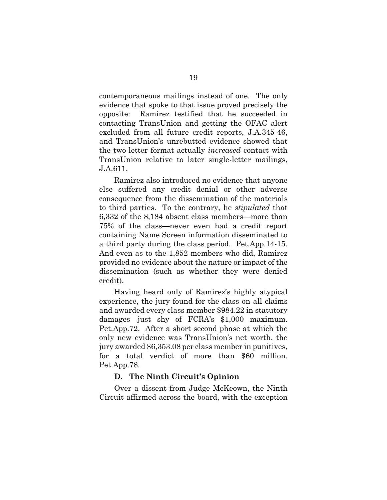contemporaneous mailings instead of one. The only evidence that spoke to that issue proved precisely the opposite: Ramirez testified that he succeeded in contacting TransUnion and getting the OFAC alert excluded from all future credit reports, J.A.345-46, and TransUnion's unrebutted evidence showed that the two-letter format actually *increased* contact with TransUnion relative to later single-letter mailings, J.A.611.

Ramirez also introduced no evidence that anyone else suffered any credit denial or other adverse consequence from the dissemination of the materials to third parties. To the contrary, he *stipulated* that 6,332 of the 8,184 absent class members—more than 75% of the class—never even had a credit report containing Name Screen information disseminated to a third party during the class period. Pet.App.14-15. And even as to the 1,852 members who did, Ramirez provided no evidence about the nature or impact of the dissemination (such as whether they were denied credit).

Having heard only of Ramirez's highly atypical experience, the jury found for the class on all claims and awarded every class member \$984.22 in statutory damages—just shy of FCRA's \$1,000 maximum. Pet.App.72. After a short second phase at which the only new evidence was TransUnion's net worth, the jury awarded \$6,353.08 per class member in punitives, for a total verdict of more than \$60 million. Pet.App.78.

#### **D. The Ninth Circuit's Opinion**

<span id="page-27-0"></span>Over a dissent from Judge McKeown, the Ninth Circuit affirmed across the board, with the exception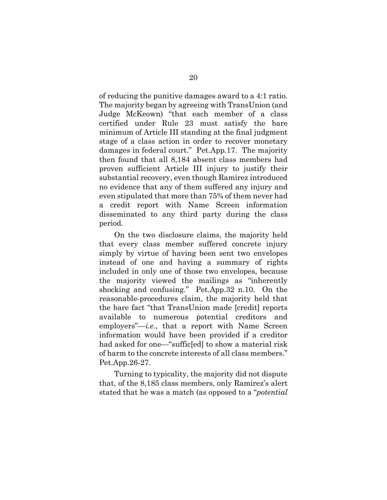of reducing the punitive damages award to a 4:1 ratio. The majority began by agreeing with TransUnion (and Judge McKeown) "that each member of a class certified under Rule 23 must satisfy the bare minimum of Article III standing at the final judgment stage of a class action in order to recover monetary damages in federal court." Pet.App.17. The majority then found that all 8,184 absent class members had proven sufficient Article III injury to justify their substantial recovery, even though Ramirez introduced no evidence that any of them suffered any injury and even stipulated that more than 75% of them never had a credit report with Name Screen information disseminated to any third party during the class period.

On the two disclosure claims, the majority held that every class member suffered concrete injury simply by virtue of having been sent two envelopes instead of one and having a summary of rights included in only one of those two envelopes, because the majority viewed the mailings as "inherently shocking and confusing." Pet.App.32 n.10. On the reasonable-procedures claim, the majority held that the bare fact "that TransUnion made [credit] reports available to numerous potential creditors and employers"—*i.e.*, that a report with Name Screen information would have been provided if a creditor had asked for one—"suffic[ed] to show a material risk of harm to the concrete interests of all class members." Pet.App.26-27.

Turning to typicality, the majority did not dispute that, of the 8,185 class members, only Ramirez's alert stated that he was a match (as opposed to a "*potential*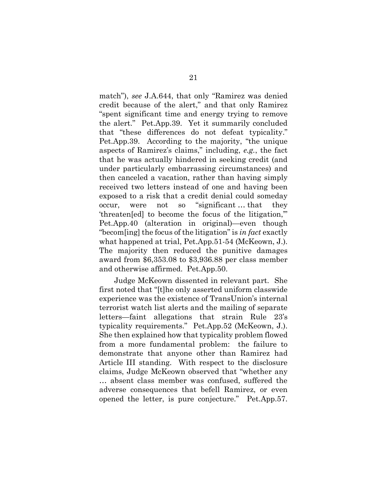match"), *see* J.A.644, that only "Ramirez was denied credit because of the alert," and that only Ramirez "spent significant time and energy trying to remove the alert." Pet.App.39. Yet it summarily concluded that "these differences do not defeat typicality." Pet.App.39. According to the majority, "the unique aspects of Ramirez's claims," including, *e.g.*, the fact that he was actually hindered in seeking credit (and under particularly embarrassing circumstances) and then canceled a vacation, rather than having simply received two letters instead of one and having been exposed to a risk that a credit denial could someday occur, were not so "significant … that they 'threaten[ed] to become the focus of the litigation,'" Pet.App.40 (alteration in original)—even though "becom[ing] the focus of the litigation" is *in fact* exactly what happened at trial, Pet.App.51-54 (McKeown, J.). The majority then reduced the punitive damages award from \$6,353.08 to \$3,936.88 per class member and otherwise affirmed. Pet.App.50.

Judge McKeown dissented in relevant part. She first noted that "[t]he only asserted uniform classwide experience was the existence of TransUnion's internal terrorist watch list alerts and the mailing of separate letters—faint allegations that strain Rule 23's typicality requirements." Pet.App.52 (McKeown, J.). She then explained how that typicality problem flowed from a more fundamental problem: the failure to demonstrate that anyone other than Ramirez had Article III standing. With respect to the disclosure claims, Judge McKeown observed that "whether any … absent class member was confused, suffered the adverse consequences that befell Ramirez, or even opened the letter, is pure conjecture." Pet.App.57.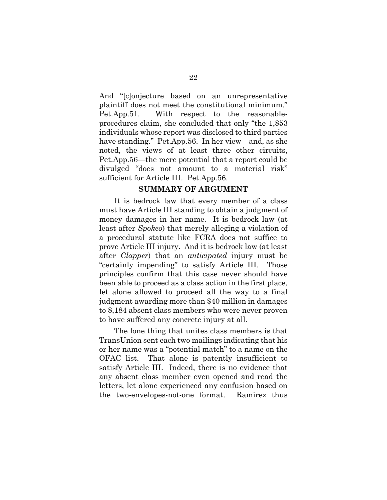And "[c]onjecture based on an unrepresentative plaintiff does not meet the constitutional minimum." Pet.App.51. With respect to the reasonableprocedures claim, she concluded that only "the 1,853 individuals whose report was disclosed to third parties have standing." Pet.App.56. In her view—and, as she noted, the views of at least three other circuits, Pet.App.56—the mere potential that a report could be divulged "does not amount to a material risk" sufficient for Article III. Pet.App.56.

#### **SUMMARY OF ARGUMENT**

<span id="page-30-0"></span>It is bedrock law that every member of a class must have Article III standing to obtain a judgment of money damages in her name. It is bedrock law (at least after *Spokeo*) that merely alleging a violation of a procedural statute like FCRA does not suffice to prove Article III injury. And it is bedrock law (at least after *Clapper*) that an *anticipated* injury must be "certainly impending" to satisfy Article III. Those principles confirm that this case never should have been able to proceed as a class action in the first place, let alone allowed to proceed all the way to a final judgment awarding more than \$40 million in damages to 8,184 absent class members who were never proven to have suffered any concrete injury at all.

The lone thing that unites class members is that TransUnion sent each two mailings indicating that his or her name was a "potential match" to a name on the OFAC list. That alone is patently insufficient to satisfy Article III. Indeed, there is no evidence that any absent class member even opened and read the letters, let alone experienced any confusion based on the two-envelopes-not-one format. Ramirez thus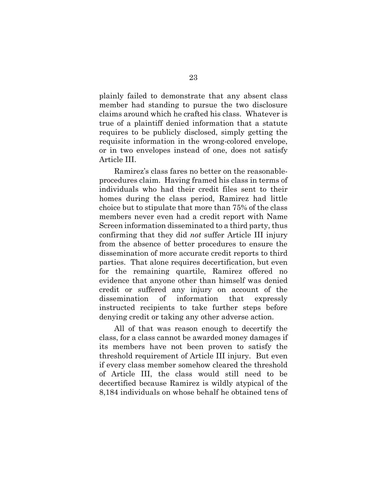plainly failed to demonstrate that any absent class member had standing to pursue the two disclosure claims around which he crafted his class. Whatever is true of a plaintiff denied information that a statute requires to be publicly disclosed, simply getting the requisite information in the wrong-colored envelope, or in two envelopes instead of one, does not satisfy Article III.

Ramirez's class fares no better on the reasonableprocedures claim. Having framed his class in terms of individuals who had their credit files sent to their homes during the class period, Ramirez had little choice but to stipulate that more than 75% of the class members never even had a credit report with Name Screen information disseminated to a third party, thus confirming that they did *not* suffer Article III injury from the absence of better procedures to ensure the dissemination of more accurate credit reports to third parties. That alone requires decertification, but even for the remaining quartile, Ramirez offered no evidence that anyone other than himself was denied credit or suffered any injury on account of the dissemination of information that expressly instructed recipients to take further steps before denying credit or taking any other adverse action.

All of that was reason enough to decertify the class, for a class cannot be awarded money damages if its members have not been proven to satisfy the threshold requirement of Article III injury. But even if every class member somehow cleared the threshold of Article III, the class would still need to be decertified because Ramirez is wildly atypical of the 8,184 individuals on whose behalf he obtained tens of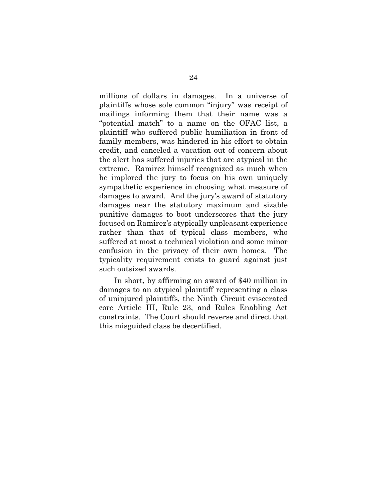millions of dollars in damages. In a universe of plaintiffs whose sole common "injury" was receipt of mailings informing them that their name was a "potential match" to a name on the OFAC list, a plaintiff who suffered public humiliation in front of family members, was hindered in his effort to obtain credit, and canceled a vacation out of concern about the alert has suffered injuries that are atypical in the extreme. Ramirez himself recognized as much when he implored the jury to focus on his own uniquely sympathetic experience in choosing what measure of damages to award. And the jury's award of statutory damages near the statutory maximum and sizable punitive damages to boot underscores that the jury focused on Ramirez's atypically unpleasant experience rather than that of typical class members, who suffered at most a technical violation and some minor confusion in the privacy of their own homes. The typicality requirement exists to guard against just such outsized awards.

In short, by affirming an award of \$40 million in damages to an atypical plaintiff representing a class of uninjured plaintiffs, the Ninth Circuit eviscerated core Article III, Rule 23, and Rules Enabling Act constraints. The Court should reverse and direct that this misguided class be decertified.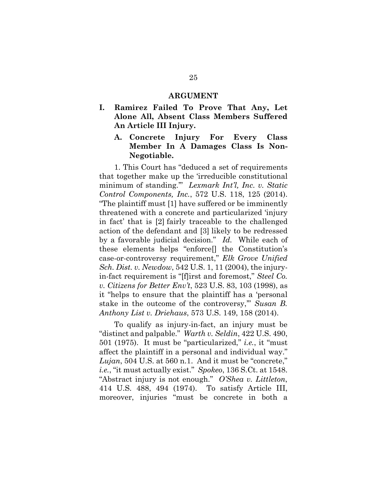#### **ARGUMENT**

- <span id="page-33-2"></span><span id="page-33-1"></span><span id="page-33-0"></span>**I. Ramirez Failed To Prove That Any, Let Alone All, Absent Class Members Suffered An Article III Injury.**
	- **A. Concrete Injury For Every Class Member In A Damages Class Is Non-Negotiable.**

1. This Court has "deduced a set of requirements that together make up the 'irreducible constitutional minimum of standing.'" *Lexmark Int'l, Inc. v. Static Control Components, Inc.*, 572 U.S. 118, 125 (2014). "The plaintiff must [1] have suffered or be imminently threatened with a concrete and particularized 'injury in fact' that is [2] fairly traceable to the challenged action of the defendant and [3] likely to be redressed by a favorable judicial decision." *Id.* While each of these elements helps "enforce[] the Constitution's case-or-controversy requirement," *Elk Grove Unified Sch. Dist. v. Newdow*, 542 U.S. 1, 11 (2004), the injuryin-fact requirement is "[f]irst and foremost," *Steel Co. v. Citizens for Better Env't*, 523 U.S. 83, 103 (1998), as it "helps to ensure that the plaintiff has a 'personal stake in the outcome of the controversy,'" *Susan B. Anthony List v. Driehaus*, 573 U.S. 149, 158 (2014).

To qualify as injury-in-fact, an injury must be "distinct and palpable." *Warth v. Seldin*, 422 U.S. 490, 501 (1975). It must be "particularized," *i.e.*, it "must affect the plaintiff in a personal and individual way." *Lujan*, 504 U.S. at 560 n.1. And it must be "concrete," *i.e.*, "it must actually exist." *Spokeo*, 136 S.Ct. at 1548. "Abstract injury is not enough." *O'Shea v. Littleton*, 414 U.S. 488, 494 (1974). To satisfy Article III, moreover, injuries "must be concrete in both a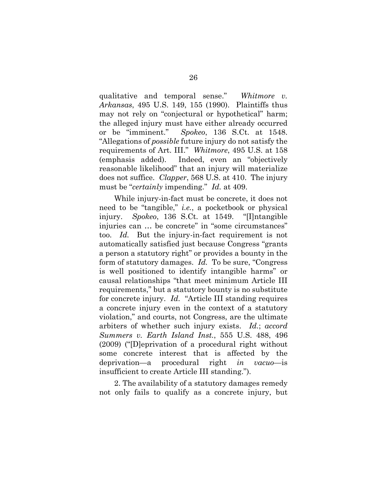qualitative and temporal sense." *Whitmore v. Arkansas*, 495 U.S. 149, 155 (1990). Plaintiffs thus may not rely on "conjectural or hypothetical" harm; the alleged injury must have either already occurred or be "imminent." *Spokeo*, 136 S.Ct. at 1548. "Allegations of *possible* future injury do not satisfy the requirements of Art. III." *Whitmore*, 495 U.S. at 158 (emphasis added). Indeed, even an "objectively reasonable likelihood" that an injury will materialize does not suffice. *Clapper*, 568 U.S. at 410. The injury must be "*certainly* impending." *Id.* at 409.

While injury-in-fact must be concrete, it does not need to be "tangible," *i.e.*, a pocketbook or physical injury. *Spokeo*, 136 S.Ct. at 1549. "[I]ntangible injuries can ... be concrete" in "some circumstances" too. *Id.* But the injury-in-fact requirement is not automatically satisfied just because Congress "grants a person a statutory right" or provides a bounty in the form of statutory damages. *Id.* To be sure, "Congress is well positioned to identify intangible harms" or causal relationships "that meet minimum Article III requirements," but a statutory bounty is no substitute for concrete injury. *Id.* "Article III standing requires a concrete injury even in the context of a statutory violation," and courts, not Congress, are the ultimate arbiters of whether such injury exists. *Id.*; *accord Summers v. Earth Island Inst.*, 555 U.S. 488, 496 (2009) ("[D]eprivation of a procedural right without some concrete interest that is affected by the deprivation—a procedural right *in vacuo*—is insufficient to create Article III standing.").

2. The availability of a statutory damages remedy not only fails to qualify as a concrete injury, but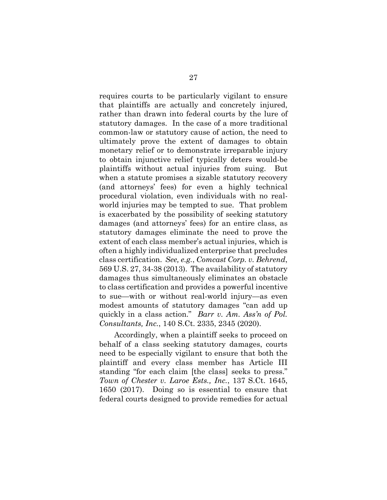requires courts to be particularly vigilant to ensure that plaintiffs are actually and concretely injured, rather than drawn into federal courts by the lure of statutory damages. In the case of a more traditional common-law or statutory cause of action, the need to ultimately prove the extent of damages to obtain monetary relief or to demonstrate irreparable injury to obtain injunctive relief typically deters would-be plaintiffs without actual injuries from suing. But when a statute promises a sizable statutory recovery (and attorneys' fees) for even a highly technical procedural violation, even individuals with no realworld injuries may be tempted to sue. That problem is exacerbated by the possibility of seeking statutory damages (and attorneys' fees) for an entire class, as statutory damages eliminate the need to prove the extent of each class member's actual injuries, which is often a highly individualized enterprise that precludes class certification. *See, e.g.*, *Comcast Corp. v. Behrend*, 569 U.S. 27, 34-38 (2013). The availability of statutory damages thus simultaneously eliminates an obstacle to class certification and provides a powerful incentive to sue—with or without real-world injury—as even modest amounts of statutory damages "can add up quickly in a class action." *Barr v. Am. Ass'n of Pol. Consultants, Inc.*, 140 S.Ct. 2335, 2345 (2020).

Accordingly, when a plaintiff seeks to proceed on behalf of a class seeking statutory damages, courts need to be especially vigilant to ensure that both the plaintiff and every class member has Article III standing "for each claim [the class] seeks to press." *Town of Chester v. Laroe Ests., Inc.*, 137 S.Ct. 1645, 1650 (2017). Doing so is essential to ensure that federal courts designed to provide remedies for actual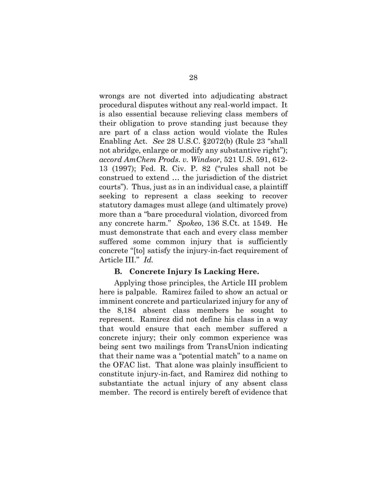wrongs are not diverted into adjudicating abstract procedural disputes without any real-world impact. It is also essential because relieving class members of their obligation to prove standing just because they are part of a class action would violate the Rules Enabling Act. *See* 28 U.S.C. §2072(b) (Rule 23 "shall not abridge, enlarge or modify any substantive right"); *accord AmChem Prods. v. Windsor*, 521 U.S. 591, 612- 13 (1997); Fed. R. Civ. P. 82 ("rules shall not be construed to extend … the jurisdiction of the district courts"). Thus, just as in an individual case, a plaintiff seeking to represent a class seeking to recover statutory damages must allege (and ultimately prove) more than a "bare procedural violation, divorced from any concrete harm." *Spokeo*, 136 S.Ct. at 1549. He must demonstrate that each and every class member suffered some common injury that is sufficiently concrete "[to] satisfy the injury-in-fact requirement of Article III." *Id.*

#### **B. Concrete Injury Is Lacking Here.**

<span id="page-36-0"></span>Applying those principles, the Article III problem here is palpable. Ramirez failed to show an actual or imminent concrete and particularized injury for any of the 8,184 absent class members he sought to represent. Ramirez did not define his class in a way that would ensure that each member suffered a concrete injury; their only common experience was being sent two mailings from TransUnion indicating that their name was a "potential match" to a name on the OFAC list. That alone was plainly insufficient to constitute injury-in-fact, and Ramirez did nothing to substantiate the actual injury of any absent class member. The record is entirely bereft of evidence that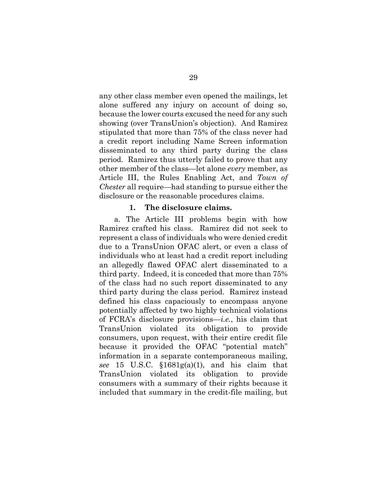any other class member even opened the mailings, let alone suffered any injury on account of doing so, because the lower courts excused the need for any such showing (over TransUnion's objection). And Ramirez stipulated that more than 75% of the class never had a credit report including Name Screen information disseminated to any third party during the class period. Ramirez thus utterly failed to prove that any other member of the class—let alone *every* member, as Article III, the Rules Enabling Act, and *Town of Chester* all require—had standing to pursue either the disclosure or the reasonable procedures claims.

#### **1. The disclosure claims.**

<span id="page-37-0"></span>a. The Article III problems begin with how Ramirez crafted his class. Ramirez did not seek to represent a class of individuals who were denied credit due to a TransUnion OFAC alert, or even a class of individuals who at least had a credit report including an allegedly flawed OFAC alert disseminated to a third party. Indeed, it is conceded that more than 75% of the class had no such report disseminated to any third party during the class period. Ramirez instead defined his class capaciously to encompass anyone potentially affected by two highly technical violations of FCRA's disclosure provisions—*i.e.*, his claim that TransUnion violated its obligation to provide consumers, upon request, with their entire credit file because it provided the OFAC "potential match" information in a separate contemporaneous mailing, *see* 15 U.S.C. §1681g(a)(1), and his claim that TransUnion violated its obligation to provide consumers with a summary of their rights because it included that summary in the credit-file mailing, but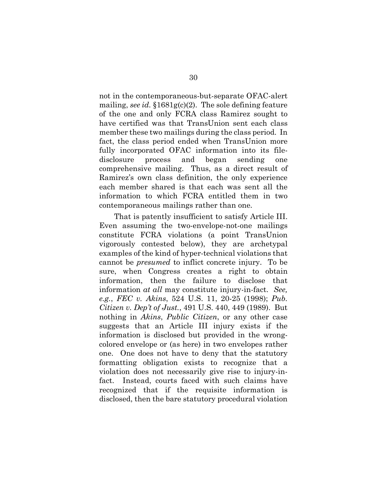not in the contemporaneous-but-separate OFAC-alert mailing, *see id.* §1681g(c)(2). The sole defining feature of the one and only FCRA class Ramirez sought to have certified was that TransUnion sent each class member these two mailings during the class period. In fact, the class period ended when TransUnion more fully incorporated OFAC information into its filedisclosure process and began sending one comprehensive mailing. Thus, as a direct result of Ramirez's own class definition, the only experience each member shared is that each was sent all the information to which FCRA entitled them in two contemporaneous mailings rather than one.

That is patently insufficient to satisfy Article III. Even assuming the two-envelope-not-one mailings constitute FCRA violations (a point TransUnion vigorously contested below), they are archetypal examples of the kind of hyper-technical violations that cannot be *presumed* to inflict concrete injury. To be sure, when Congress creates a right to obtain information, then the failure to disclose that information *at all* may constitute injury-in-fact. *See, e.g.*, *FEC v. Akins*, 524 U.S. 11, 20-25 (1998); *Pub. Citizen v. Dep't of Just.*, 491 U.S. 440, 449 (1989). But nothing in *Akins*, *Public Citizen*, or any other case suggests that an Article III injury exists if the information is disclosed but provided in the wrongcolored envelope or (as here) in two envelopes rather one. One does not have to deny that the statutory formatting obligation exists to recognize that a violation does not necessarily give rise to injury-infact. Instead, courts faced with such claims have recognized that if the requisite information is disclosed, then the bare statutory procedural violation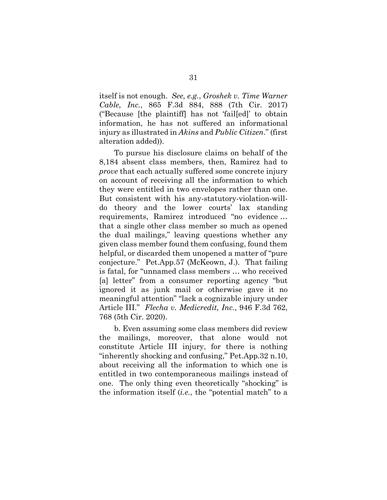itself is not enough. *See, e.g.*, *Groshek v. Time Warner Cable, Inc.*, 865 F.3d 884, 888 (7th Cir. 2017) ("Because [the plaintiff] has not 'fail[ed]' to obtain information, he has not suffered an informational injury as illustrated in *Akins* and *Public Citizen*." (first alteration added)).

To pursue his disclosure claims on behalf of the 8,184 absent class members, then, Ramirez had to *prove* that each actually suffered some concrete injury on account of receiving all the information to which they were entitled in two envelopes rather than one. But consistent with his any-statutory-violation-willdo theory and the lower courts' lax standing requirements, Ramirez introduced "no evidence … that a single other class member so much as opened the dual mailings," leaving questions whether any given class member found them confusing, found them helpful, or discarded them unopened a matter of "pure conjecture." Pet.App.57 (McKeown, J.). That failing is fatal, for "unnamed class members … who received [a] letter" from a consumer reporting agency "but ignored it as junk mail or otherwise gave it no meaningful attention" "lack a cognizable injury under Article III." *Flecha v. Medicredit, Inc.*, 946 F.3d 762, 768 (5th Cir. 2020).

b. Even assuming some class members did review the mailings, moreover, that alone would not constitute Article III injury, for there is nothing "inherently shocking and confusing," Pet.App.32 n.10, about receiving all the information to which one is entitled in two contemporaneous mailings instead of one. The only thing even theoretically "shocking" is the information itself (*i.e.*, the "potential match" to a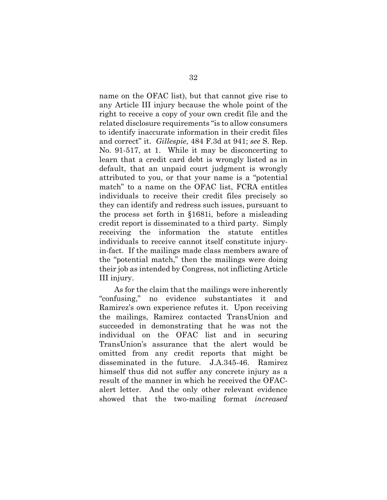name on the OFAC list), but that cannot give rise to any Article III injury because the whole point of the right to receive a copy of your own credit file and the related disclosure requirements "is to allow consumers to identify inaccurate information in their credit files and correct" it. *Gillespie*, 484 F.3d at 941; *see* S. Rep. No. 91-517, at 1. While it may be disconcerting to learn that a credit card debt is wrongly listed as in default, that an unpaid court judgment is wrongly attributed to you, or that your name is a "potential match" to a name on the OFAC list, FCRA entitles individuals to receive their credit files precisely so they can identify and redress such issues, pursuant to the process set forth in §1681i, before a misleading credit report is disseminated to a third party. Simply receiving the information the statute entitles individuals to receive cannot itself constitute injuryin-fact. If the mailings made class members aware of the "potential match," then the mailings were doing their job as intended by Congress, not inflicting Article III injury.

As for the claim that the mailings were inherently "confusing," no evidence substantiates it and Ramirez's own experience refutes it. Upon receiving the mailings, Ramirez contacted TransUnion and succeeded in demonstrating that he was not the individual on the OFAC list and in securing TransUnion's assurance that the alert would be omitted from any credit reports that might be disseminated in the future. J.A.345-46. Ramirez himself thus did not suffer any concrete injury as a result of the manner in which he received the OFACalert letter. And the only other relevant evidence showed that the two-mailing format *increased*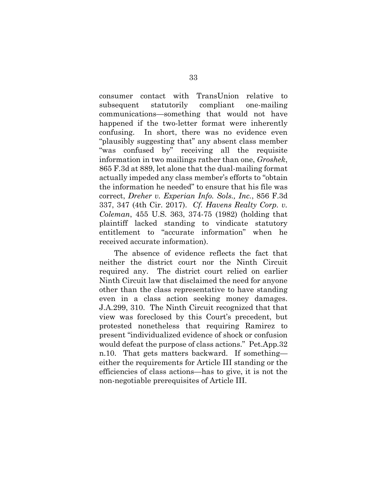consumer contact with TransUnion relative to subsequent statutorily compliant one-mailing communications—something that would not have happened if the two-letter format were inherently confusing. In short, there was no evidence even "plausibly suggesting that" any absent class member "was confused by" receiving all the requisite information in two mailings rather than one, *Groshek*, 865 F.3d at 889, let alone that the dual-mailing format actually impeded any class member's efforts to "obtain the information he needed" to ensure that his file was correct, *Dreher v. Experian Info. Sols., Inc.*, 856 F.3d 337, 347 (4th Cir. 2017). *Cf. Havens Realty Corp. v. Coleman*, 455 U.S. 363, 374-75 (1982) (holding that plaintiff lacked standing to vindicate statutory entitlement to "accurate information" when he received accurate information).

The absence of evidence reflects the fact that neither the district court nor the Ninth Circuit required any. The district court relied on earlier Ninth Circuit law that disclaimed the need for anyone other than the class representative to have standing even in a class action seeking money damages. J.A.299, 310. The Ninth Circuit recognized that that view was foreclosed by this Court's precedent, but protested nonetheless that requiring Ramirez to present "individualized evidence of shock or confusion would defeat the purpose of class actions." Pet.App.32 n.10. That gets matters backward. If something either the requirements for Article III standing or the efficiencies of class actions—has to give, it is not the non-negotiable prerequisites of Article III.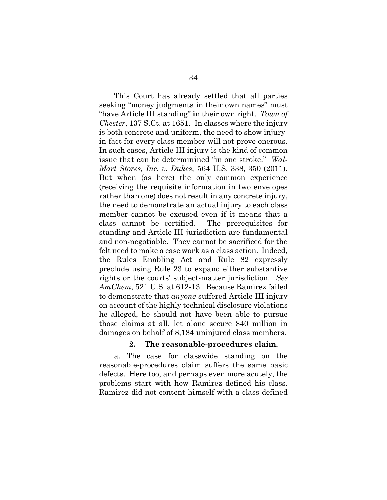This Court has already settled that all parties seeking "money judgments in their own names" must "have Article III standing" in their own right. *Town of Chester*, 137 S.Ct. at 1651. In classes where the injury is both concrete and uniform, the need to show injuryin-fact for every class member will not prove onerous. In such cases, Article III injury is the kind of common issue that can be determinined "in one stroke." *Wal-Mart Stores, Inc. v. Dukes*, 564 U.S. 338, 350 (2011). But when (as here) the only common experience (receiving the requisite information in two envelopes rather than one) does not result in any concrete injury, the need to demonstrate an actual injury to each class member cannot be excused even if it means that a class cannot be certified. The prerequisites for standing and Article III jurisdiction are fundamental and non-negotiable. They cannot be sacrificed for the felt need to make a case work as a class action. Indeed, the Rules Enabling Act and Rule 82 expressly preclude using Rule 23 to expand either substantive rights or the courts' subject-matter jurisdiction. *See AmChem*, 521 U.S. at 612-13. Because Ramirez failed to demonstrate that *anyone* suffered Article III injury on account of the highly technical disclosure violations he alleged, he should not have been able to pursue those claims at all, let alone secure \$40 million in damages on behalf of 8,184 uninjured class members.

#### **2. The reasonable-procedures claim.**

<span id="page-42-0"></span>a. The case for classwide standing on the reasonable-procedures claim suffers the same basic defects. Here too, and perhaps even more acutely, the problems start with how Ramirez defined his class. Ramirez did not content himself with a class defined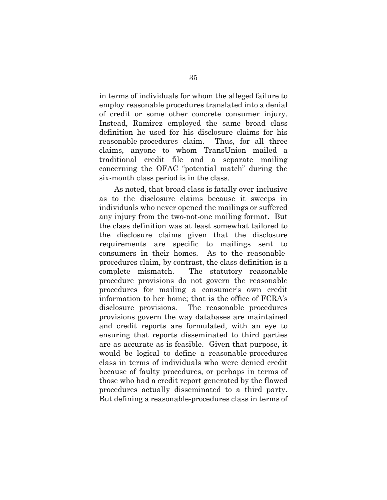in terms of individuals for whom the alleged failure to employ reasonable procedures translated into a denial of credit or some other concrete consumer injury. Instead, Ramirez employed the same broad class definition he used for his disclosure claims for his reasonable-procedures claim. Thus, for all three claims, anyone to whom TransUnion mailed a traditional credit file and a separate mailing concerning the OFAC "potential match" during the six-month class period is in the class.

As noted, that broad class is fatally over-inclusive as to the disclosure claims because it sweeps in individuals who never opened the mailings or suffered any injury from the two-not-one mailing format. But the class definition was at least somewhat tailored to the disclosure claims given that the disclosure requirements are specific to mailings sent to consumers in their homes. As to the reasonableprocedures claim, by contrast, the class definition is a complete mismatch. The statutory reasonable procedure provisions do not govern the reasonable procedures for mailing a consumer's own credit information to her home; that is the office of FCRA's disclosure provisions. The reasonable procedures provisions govern the way databases are maintained and credit reports are formulated, with an eye to ensuring that reports disseminated to third parties are as accurate as is feasible. Given that purpose, it would be logical to define a reasonable-procedures class in terms of individuals who were denied credit because of faulty procedures, or perhaps in terms of those who had a credit report generated by the flawed procedures actually disseminated to a third party. But defining a reasonable-procedures class in terms of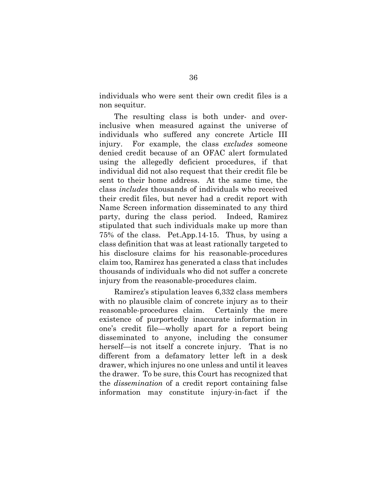individuals who were sent their own credit files is a non sequitur.

The resulting class is both under- and overinclusive when measured against the universe of individuals who suffered any concrete Article III injury. For example, the class *excludes* someone denied credit because of an OFAC alert formulated using the allegedly deficient procedures, if that individual did not also request that their credit file be sent to their home address. At the same time, the class *includes* thousands of individuals who received their credit files, but never had a credit report with Name Screen information disseminated to any third party, during the class period. Indeed, Ramirez stipulated that such individuals make up more than 75% of the class. Pet.App.14-15. Thus, by using a class definition that was at least rationally targeted to his disclosure claims for his reasonable-procedures claim too, Ramirez has generated a class that includes thousands of individuals who did not suffer a concrete injury from the reasonable-procedures claim.

Ramirez's stipulation leaves 6,332 class members with no plausible claim of concrete injury as to their reasonable-procedures claim. Certainly the mere existence of purportedly inaccurate information in one's credit file—wholly apart for a report being disseminated to anyone, including the consumer herself—is not itself a concrete injury. That is no different from a defamatory letter left in a desk drawer, which injures no one unless and until it leaves the drawer. To be sure, this Court has recognized that the *dissemination* of a credit report containing false information may constitute injury-in-fact if the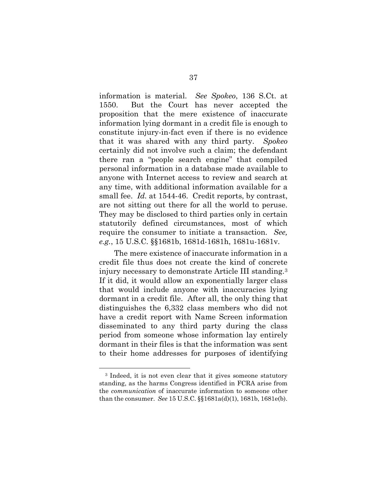information is material. *See Spokeo*, 136 S.Ct. at 1550. But the Court has never accepted the proposition that the mere existence of inaccurate information lying dormant in a credit file is enough to constitute injury-in-fact even if there is no evidence that it was shared with any third party. *Spokeo* certainly did not involve such a claim; the defendant there ran a "people search engine" that compiled personal information in a database made available to anyone with Internet access to review and search at any time, with additional information available for a small fee. *Id.* at 1544-46. Credit reports, by contrast, are not sitting out there for all the world to peruse. They may be disclosed to third parties only in certain statutorily defined circumstances, most of which require the consumer to initiate a transaction. *See, e.g.*, 15 U.S.C. §§1681b, 1681d-1681h, 1681u-1681v.

The mere existence of inaccurate information in a credit file thus does not create the kind of concrete injury necessary to demonstrate Article III standing.[3](#page-48-0) If it did, it would allow an exponentially larger class that would include anyone with inaccuracies lying dormant in a credit file. After all, the only thing that distinguishes the 6,332 class members who did not have a credit report with Name Screen information disseminated to any third party during the class period from someone whose information lay entirely dormant in their files is that the information was sent to their home addresses for purposes of identifying

<u>.</u>

<sup>3</sup> Indeed, it is not even clear that it gives someone statutory standing, as the harms Congress identified in FCRA arise from the *communication* of inaccurate information to someone other than the consumer. *See* 15 U.S.C. §§1681a(d)(1), 1681b, 1681e(b).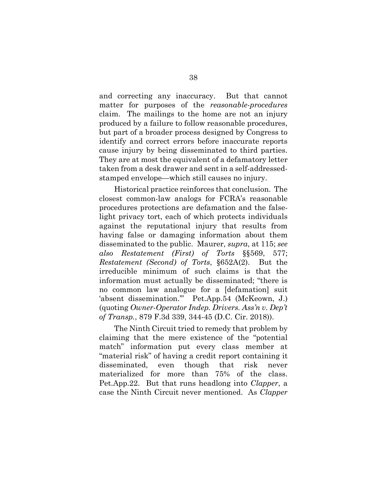and correcting any inaccuracy. But that cannot matter for purposes of the *reasonable-procedures* claim. The mailings to the home are not an injury produced by a failure to follow reasonable procedures, but part of a broader process designed by Congress to identify and correct errors before inaccurate reports cause injury by being disseminated to third parties. They are at most the equivalent of a defamatory letter taken from a desk drawer and sent in a self-addressedstamped envelope—which still causes no injury.

Historical practice reinforces that conclusion. The closest common-law analogs for FCRA's reasonable procedures protections are defamation and the falselight privacy tort, each of which protects individuals against the reputational injury that results from having false or damaging information about them disseminated to the public. Maurer, *supra*, at 115; *see also Restatement (First) of Torts* §§569, 577; *Restatement (Second) of Torts*, §652A(2). But the irreducible minimum of such claims is that the information must actually be disseminated; "there is no common law analogue for a [defamation] suit 'absent dissemination.'" Pet.App.54 (McKeown, J.) (quoting *Owner-Operator Indep. Drivers. Ass'n v. Dep't of Transp.*, 879 F.3d 339, 344-45 (D.C. Cir. 2018)).

The Ninth Circuit tried to remedy that problem by claiming that the mere existence of the "potential match" information put every class member at "material risk" of having a credit report containing it disseminated, even though that risk never materialized for more than 75% of the class. Pet.App.22. But that runs headlong into *Clapper*, a case the Ninth Circuit never mentioned. As *Clapper*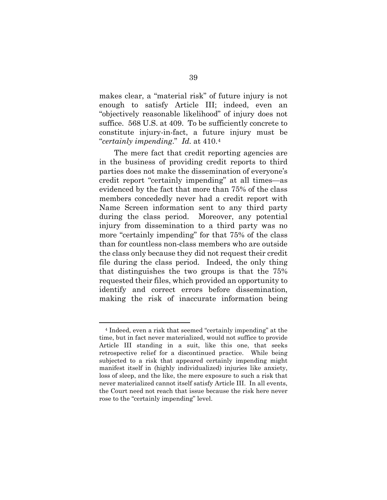makes clear, a "material risk" of future injury is not enough to satisfy Article III; indeed, even an "objectively reasonable likelihood" of injury does not suffice. 568 U.S. at 409. To be sufficiently concrete to constitute injury-in-fact, a future injury must be "*certainly impending*." *Id.* at 410.[4](#page-50-0)

The mere fact that credit reporting agencies are in the business of providing credit reports to third parties does not make the dissemination of everyone's credit report "certainly impending" at all times—as evidenced by the fact that more than 75% of the class members concededly never had a credit report with Name Screen information sent to any third party during the class period. Moreover, any potential injury from dissemination to a third party was no more "certainly impending" for that 75% of the class than for countless non-class members who are outside the class only because they did not request their credit file during the class period. Indeed, the only thing that distinguishes the two groups is that the 75% requested their files, which provided an opportunity to identify and correct errors before dissemination, making the risk of inaccurate information being

<u>.</u>

<sup>4</sup> Indeed, even a risk that seemed "certainly impending" at the time, but in fact never materialized, would not suffice to provide Article III standing in a suit, like this one, that seeks retrospective relief for a discontinued practice. While being subjected to a risk that appeared certainly impending might manifest itself in (highly individualized) injuries like anxiety, loss of sleep, and the like, the mere exposure to such a risk that never materialized cannot itself satisfy Article III. In all events, the Court need not reach that issue because the risk here never rose to the "certainly impending" level.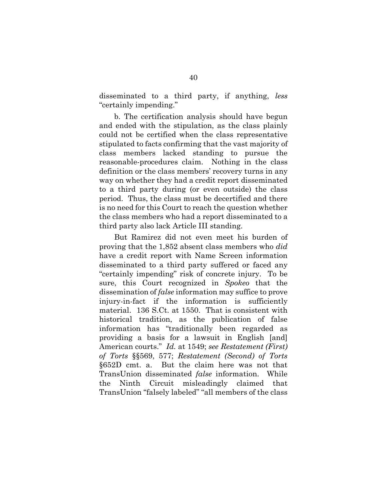disseminated to a third party, if anything, *less* "certainly impending."

b. The certification analysis should have begun and ended with the stipulation, as the class plainly could not be certified when the class representative stipulated to facts confirming that the vast majority of class members lacked standing to pursue the reasonable-procedures claim. Nothing in the class definition or the class members' recovery turns in any way on whether they had a credit report disseminated to a third party during (or even outside) the class period. Thus, the class must be decertified and there is no need for this Court to reach the question whether the class members who had a report disseminated to a third party also lack Article III standing.

<span id="page-48-0"></span>But Ramirez did not even meet his burden of proving that the 1,852 absent class members who *did* have a credit report with Name Screen information disseminated to a third party suffered or faced any "certainly impending" risk of concrete injury. To be sure, this Court recognized in *Spokeo* that the dissemination of *false* information may suffice to prove injury-in-fact if the information is sufficiently material. 136 S.Ct. at 1550. That is consistent with historical tradition, as the publication of false information has "traditionally been regarded as providing a basis for a lawsuit in English [and] American courts." *Id.* at 1549; *see Restatement (First) of Torts* §§569, 577; *Restatement (Second) of Torts* §652D cmt. a. But the claim here was not that TransUnion disseminated *false* information. While the Ninth Circuit misleadingly claimed that TransUnion "falsely labeled" "all members of the class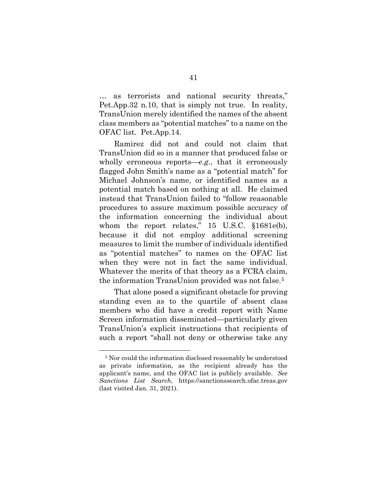… as terrorists and national security threats," Pet.App.32 n.10, that is simply not true. In reality, TransUnion merely identified the names of the absent class members as "potential matches" to a name on the OFAC list. Pet.App.14.

Ramirez did not and could not claim that TransUnion did so in a manner that produced false or wholly erroneous reports—*e.g.*, that it erroneously flagged John Smith's name as a "potential match" for Michael Johnson's name, or identified names as a potential match based on nothing at all. He claimed instead that TransUnion failed to "follow reasonable procedures to assure maximum possible accuracy of the information concerning the individual about whom the report relates," 15 U.S.C. §1681e(b), because it did not employ additional screening measures to limit the number of individuals identified as "potential matches" to names on the OFAC list when they were not in fact the same individual. Whatever the merits of that theory as a FCRA claim, the information TransUnion provided was not false.[5](#page-52-0)

That alone posed a significant obstacle for proving standing even as to the quartile of absent class members who did have a credit report with Name Screen information disseminated—particularly given TransUnion's explicit instructions that recipients of such a report "shall not deny or otherwise take any

<u>.</u>

<sup>5</sup> Nor could the information disclosed reasonably be understood as private information, as the recipient already has the applicant's name, and the OFAC list is publicly available. *See Sanctions List Search*, [https://sanctionssearch.ofac.treas.gov](https://sanctionssearch.ofac.treas.gov/) (last visited Jan. 31, 2021).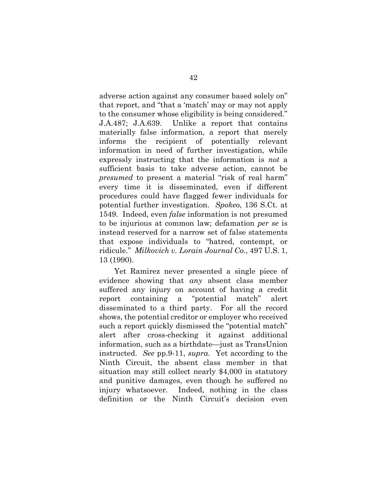adverse action against any consumer based solely on" that report, and "that a 'match' may or may not apply to the consumer whose eligibility is being considered." J.A.487; J.A.639. Unlike a report that contains materially false information, a report that merely informs the recipient of potentially relevant information in need of further investigation, while expressly instructing that the information is *not* a sufficient basis to take adverse action, cannot be *presumed* to present a material "risk of real harm" every time it is disseminated, even if different procedures could have flagged fewer individuals for potential further investigation. *Spokeo*, 136 S.Ct. at 1549. Indeed, even *false* information is not presumed to be injurious at common law; defamation *per se* is instead reserved for a narrow set of false statements that expose individuals to "hatred, contempt, or ridicule." *Milkovich v. Lorain Journal Co.*, 497 U.S. 1, 13 (1990).

<span id="page-50-0"></span>Yet Ramirez never presented a single piece of evidence showing that *any* absent class member suffered any injury on account of having a credit report containing a "potential match" alert disseminated to a third party. For all the record shows, the potential creditor or employer who received such a report quickly dismissed the "potential match" alert after cross-checking it against additional information, such as a birthdate—just as TransUnion instructed. *See* pp.9-11, *supra*. Yet according to the Ninth Circuit, the absent class member in that situation may still collect nearly \$4,000 in statutory and punitive damages, even though he suffered no injury whatsoever. Indeed, nothing in the class definition or the Ninth Circuit's decision even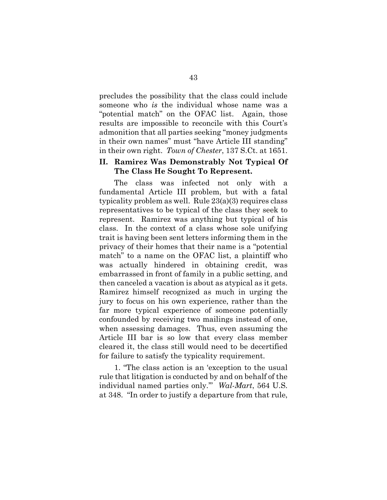precludes the possibility that the class could include someone who *is* the individual whose name was a "potential match" on the OFAC list. Again, those results are impossible to reconcile with this Court's admonition that all parties seeking "money judgments in their own names" must "have Article III standing" in their own right. *Town of Chester*, 137 S.Ct. at 1651.

### <span id="page-51-0"></span>**II. Ramirez Was Demonstrably Not Typical Of The Class He Sought To Represent.**

The class was infected not only with a fundamental Article III problem, but with a fatal typicality problem as well. Rule 23(a)(3) requires class representatives to be typical of the class they seek to represent. Ramirez was anything but typical of his class. In the context of a class whose sole unifying trait is having been sent letters informing them in the privacy of their homes that their name is a "potential match" to a name on the OFAC list, a plaintiff who was actually hindered in obtaining credit, was embarrassed in front of family in a public setting, and then canceled a vacation is about as atypical as it gets. Ramirez himself recognized as much in urging the jury to focus on his own experience, rather than the far more typical experience of someone potentially confounded by receiving two mailings instead of one, when assessing damages. Thus, even assuming the Article III bar is so low that every class member cleared it, the class still would need to be decertified for failure to satisfy the typicality requirement.

1. "The class action is an 'exception to the usual rule that litigation is conducted by and on behalf of the individual named parties only.'" *Wal-Mart*, 564 U.S. at 348. "In order to justify a departure from that rule,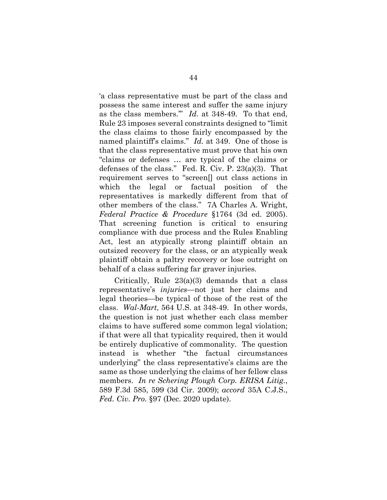'a class representative must be part of the class and possess the same interest and suffer the same injury as the class members.'" *Id.* at 348-49. To that end, Rule 23 imposes several constraints designed to "limit the class claims to those fairly encompassed by the named plaintiff's claims." *Id.* at 349. One of those is that the class representative must prove that his own "claims or defenses … are typical of the claims or defenses of the class." Fed. R. Civ. P. 23(a)(3). That requirement serves to "screen[] out class actions in which the legal or factual position of the representatives is markedly different from that of other members of the class." 7A Charles A. Wright, *Federal Practice & Procedure* §1764 (3d ed. 2005). That screening function is critical to ensuring compliance with due process and the Rules Enabling Act, lest an atypically strong plaintiff obtain an outsized recovery for the class, or an atypically weak plaintiff obtain a paltry recovery or lose outright on behalf of a class suffering far graver injuries.

<span id="page-52-0"></span>Critically, Rule 23(a)(3) demands that a class representative's *injuries*—not just her claims and legal theories—be typical of those of the rest of the class. *Wal-Mart*, 564 U.S. at 348-49. In other words, the question is not just whether each class member claims to have suffered some common legal violation; if that were all that typicality required, then it would be entirely duplicative of commonality. The question instead is whether "the factual circumstances underlying" the class representative's claims are the same as those underlying the claims of her fellow class members. *In re Schering Plough Corp. ERISA Litig.*, 589 F.3d 585, 599 (3d Cir. 2009); *accord* 35A C.J.S., *Fed. Civ. Pro.* §97 (Dec. 2020 update).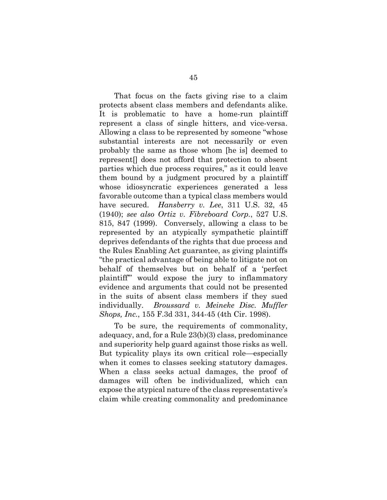That focus on the facts giving rise to a claim protects absent class members and defendants alike. It is problematic to have a home-run plaintiff represent a class of single hitters, and vice-versa. Allowing a class to be represented by someone "whose substantial interests are not necessarily or even probably the same as those whom [he is] deemed to represent[] does not afford that protection to absent parties which due process requires," as it could leave them bound by a judgment procured by a plaintiff whose idiosyncratic experiences generated a less favorable outcome than a typical class members would have secured. *Hansberry v. Lee*, 311 U.S. 32, 45 (1940); *see also Ortiz v. Fibreboard Corp.*, 527 U.S. 815, 847 (1999). Conversely, allowing a class to be represented by an atypically sympathetic plaintiff deprives defendants of the rights that due process and the Rules Enabling Act guarantee, as giving plaintiffs "the practical advantage of being able to litigate not on behalf of themselves but on behalf of a 'perfect plaintiff'" would expose the jury to inflammatory evidence and arguments that could not be presented in the suits of absent class members if they sued individually. *Broussard v. Meineke Disc. Muffler Shops, Inc.*, 155 F.3d 331, 344-45 (4th Cir. 1998).

To be sure, the requirements of commonality, adequacy, and, for a Rule 23(b)(3) class, predominance and superiority help guard against those risks as well. But typicality plays its own critical role—especially when it comes to classes seeking statutory damages. When a class seeks actual damages, the proof of damages will often be individualized, which can expose the atypical nature of the class representative's claim while creating commonality and predominance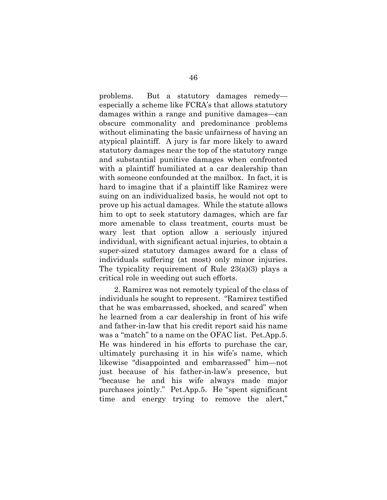problems. But a statutory damages remedy especially a scheme like FCRA's that allows statutory damages within a range and punitive damages—can obscure commonality and predominance problems without eliminating the basic unfairness of having an atypical plaintiff. A jury is far more likely to award statutory damages near the top of the statutory range and substantial punitive damages when confronted with a plaintiff humiliated at a car dealership than with someone confounded at the mailbox. In fact, it is hard to imagine that if a plaintiff like Ramirez were suing on an individualized basis, he would not opt to prove up his actual damages. While the statute allows him to opt to seek statutory damages, which are far more amenable to class treatment, courts must be wary lest that option allow a seriously injured individual, with significant actual injuries, to obtain a super-sized statutory damages award for a class of individuals suffering (at most) only minor injuries. The typicality requirement of Rule 23(a)(3) plays a critical role in weeding out such efforts.

2. Ramirez was not remotely typical of the class of individuals he sought to represent. "Ramirez testified that he was embarrassed, shocked, and scared" when he learned from a car dealership in front of his wife and father-in-law that his credit report said his name was a "match" to a name on the OFAC list. Pet.App.5. He was hindered in his efforts to purchase the car, ultimately purchasing it in his wife's name, which likewise "disappointed and embarrassed" him—not just because of his father-in-law's presence, but "because he and his wife always made major purchases jointly." Pet.App.5. He "spent significant time and energy trying to remove the alert,"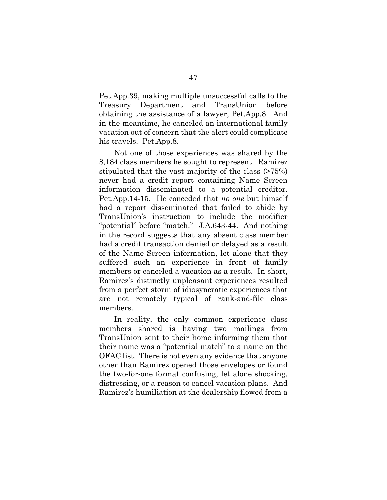Pet.App.39, making multiple unsuccessful calls to the Treasury Department and TransUnion before obtaining the assistance of a lawyer, Pet.App.8. And in the meantime, he canceled an international family vacation out of concern that the alert could complicate his travels. Pet.App.8.

Not one of those experiences was shared by the 8,184 class members he sought to represent. Ramirez stipulated that the vast majority of the class (>75%) never had a credit report containing Name Screen information disseminated to a potential creditor. Pet.App.14-15. He conceded that *no one* but himself had a report disseminated that failed to abide by TransUnion's instruction to include the modifier "potential" before "match." J.A.643-44. And nothing in the record suggests that any absent class member had a credit transaction denied or delayed as a result of the Name Screen information, let alone that they suffered such an experience in front of family members or canceled a vacation as a result. In short, Ramirez's distinctly unpleasant experiences resulted from a perfect storm of idiosyncratic experiences that are not remotely typical of rank-and-file class members.

In reality, the only common experience class members shared is having two mailings from TransUnion sent to their home informing them that their name was a "potential match" to a name on the OFAC list. There is not even any evidence that anyone other than Ramirez opened those envelopes or found the two-for-one format confusing, let alone shocking, distressing, or a reason to cancel vacation plans. And Ramirez's humiliation at the dealership flowed from a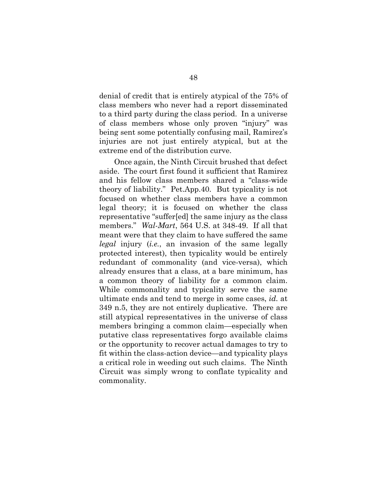denial of credit that is entirely atypical of the 75% of class members who never had a report disseminated to a third party during the class period. In a universe of class members whose only proven "injury" was being sent some potentially confusing mail, Ramirez's injuries are not just entirely atypical, but at the extreme end of the distribution curve.

Once again, the Ninth Circuit brushed that defect aside. The court first found it sufficient that Ramirez and his fellow class members shared a "class-wide theory of liability." Pet.App.40. But typicality is not focused on whether class members have a common legal theory; it is focused on whether the class representative "suffer[ed] the same injury as the class members." *Wal-Mart*, 564 U.S. at 348-49. If all that meant were that they claim to have suffered the same *legal* injury (*i.e.*, an invasion of the same legally protected interest), then typicality would be entirely redundant of commonality (and vice-versa), which already ensures that a class, at a bare minimum, has a common theory of liability for a common claim. While commonality and typicality serve the same ultimate ends and tend to merge in some cases, *id.* at 349 n.5, they are not entirely duplicative. There are still atypical representatives in the universe of class members bringing a common claim—especially when putative class representatives forgo available claims or the opportunity to recover actual damages to try to fit within the class-action device—and typicality plays a critical role in weeding out such claims. The Ninth Circuit was simply wrong to conflate typicality and commonality.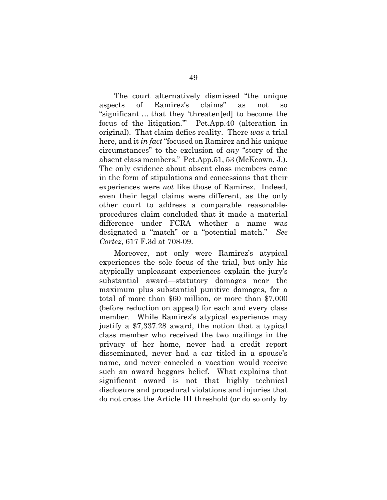The court alternatively dismissed "the unique aspects of Ramirez's claims" as not so "significant … that they 'threaten[ed] to become the focus of the litigation.'" Pet.App.40 (alteration in original). That claim defies reality. There *was* a trial here, and it *in fact* "focused on Ramirez and his unique circumstances" to the exclusion of *any* "story of the absent class members." Pet.App.51, 53 (McKeown, J.). The only evidence about absent class members came in the form of stipulations and concessions that their experiences were *not* like those of Ramirez. Indeed, even their legal claims were different, as the only other court to address a comparable reasonableprocedures claim concluded that it made a material difference under FCRA whether a name was designated a "match" or a "potential match." *See Cortez*, 617 F.3d at 708-09.

Moreover, not only were Ramirez's atypical experiences the sole focus of the trial, but only his atypically unpleasant experiences explain the jury's substantial award—statutory damages near the maximum plus substantial punitive damages, for a total of more than \$60 million, or more than \$7,000 (before reduction on appeal) for each and every class member. While Ramirez's atypical experience may justify a \$7,337.28 award, the notion that a typical class member who received the two mailings in the privacy of her home, never had a credit report disseminated, never had a car titled in a spouse's name, and never canceled a vacation would receive such an award beggars belief. What explains that significant award is not that highly technical disclosure and procedural violations and injuries that do not cross the Article III threshold (or do so only by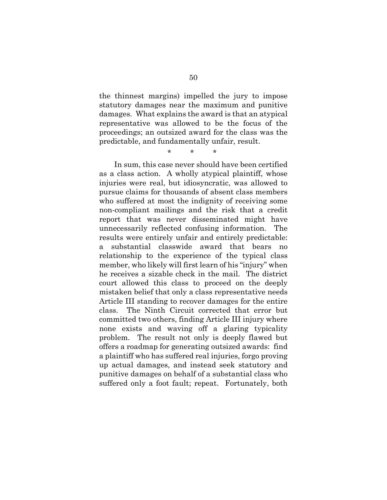the thinnest margins) impelled the jury to impose statutory damages near the maximum and punitive damages. What explains the award is that an atypical representative was allowed to be the focus of the proceedings; an outsized award for the class was the predictable, and fundamentally unfair, result.

\* \* \*

In sum, this case never should have been certified as a class action. A wholly atypical plaintiff, whose injuries were real, but idiosyncratic, was allowed to pursue claims for thousands of absent class members who suffered at most the indignity of receiving some non-compliant mailings and the risk that a credit report that was never disseminated might have unnecessarily reflected confusing information. The results were entirely unfair and entirely predictable: a substantial classwide award that bears no relationship to the experience of the typical class member, who likely will first learn of his "injury" when he receives a sizable check in the mail. The district court allowed this class to proceed on the deeply mistaken belief that only a class representative needs Article III standing to recover damages for the entire class. The Ninth Circuit corrected that error but committed two others, finding Article III injury where none exists and waving off a glaring typicality problem. The result not only is deeply flawed but offers a roadmap for generating outsized awards: find a plaintiff who has suffered real injuries, forgo proving up actual damages, and instead seek statutory and punitive damages on behalf of a substantial class who suffered only a foot fault; repeat. Fortunately, both